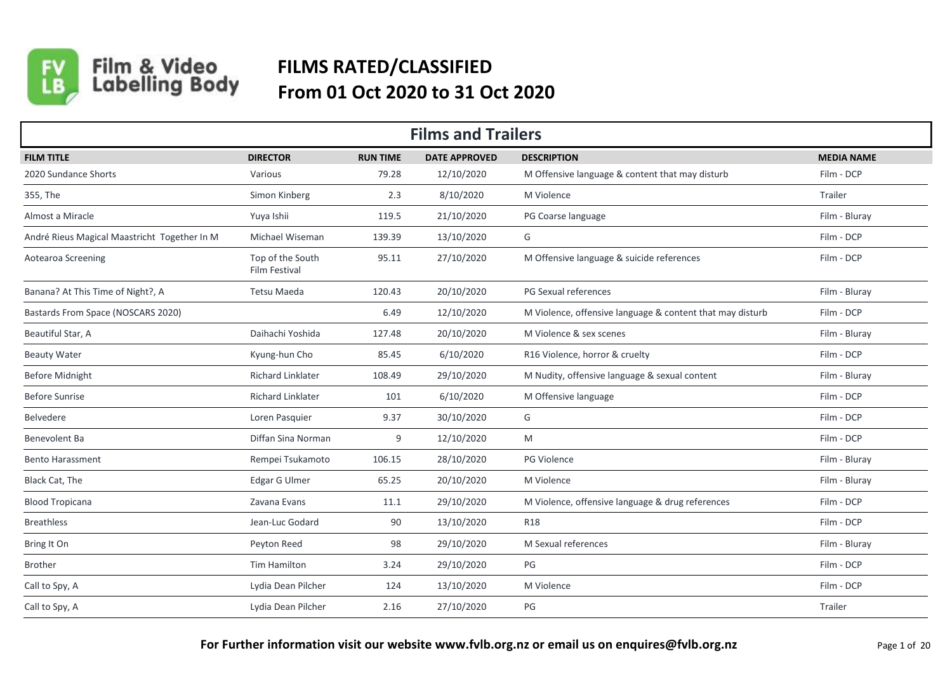

## Film & Video<br>Labelling Body **FILMS RATED/CLASSIFIED From 01 Oct 2020 to 31 Oct 2020**

| <b>Films and Trailers</b>                    |                                   |                 |                      |                                                           |                   |  |  |  |
|----------------------------------------------|-----------------------------------|-----------------|----------------------|-----------------------------------------------------------|-------------------|--|--|--|
| <b>FILM TITLE</b>                            | <b>DIRECTOR</b>                   | <b>RUN TIME</b> | <b>DATE APPROVED</b> | <b>DESCRIPTION</b>                                        | <b>MEDIA NAME</b> |  |  |  |
| 2020 Sundance Shorts                         | Various                           | 79.28           | 12/10/2020           | M Offensive language & content that may disturb           | Film - DCP        |  |  |  |
| 355, The                                     | Simon Kinberg                     | 2.3             | 8/10/2020            | M Violence                                                | Trailer           |  |  |  |
| Almost a Miracle                             | Yuya Ishii                        | 119.5           | 21/10/2020           | PG Coarse language                                        | Film - Bluray     |  |  |  |
| André Rieus Magical Maastricht Together In M | Michael Wiseman                   | 139.39          | 13/10/2020           | G                                                         | Film - DCP        |  |  |  |
| Aotearoa Screening                           | Top of the South<br>Film Festival | 95.11           | 27/10/2020           | M Offensive language & suicide references                 | Film - DCP        |  |  |  |
| Banana? At This Time of Night?, A            | <b>Tetsu Maeda</b>                | 120.43          | 20/10/2020           | PG Sexual references                                      | Film - Bluray     |  |  |  |
| Bastards From Space (NOSCARS 2020)           |                                   | 6.49            | 12/10/2020           | M Violence, offensive language & content that may disturb | Film - DCP        |  |  |  |
| Beautiful Star, A                            | Daihachi Yoshida                  | 127.48          | 20/10/2020           | M Violence & sex scenes                                   | Film - Bluray     |  |  |  |
| <b>Beauty Water</b>                          | Kyung-hun Cho                     | 85.45           | 6/10/2020            | R16 Violence, horror & cruelty                            | Film - DCP        |  |  |  |
| <b>Before Midnight</b>                       | <b>Richard Linklater</b>          | 108.49          | 29/10/2020           | M Nudity, offensive language & sexual content             | Film - Bluray     |  |  |  |
| <b>Before Sunrise</b>                        | Richard Linklater                 | 101             | 6/10/2020            | M Offensive language                                      | Film - DCP        |  |  |  |
| Belvedere                                    | Loren Pasquier                    | 9.37            | 30/10/2020           | G                                                         | Film - DCP        |  |  |  |
| Benevolent Ba                                | Diffan Sina Norman                | 9               | 12/10/2020           | M                                                         | Film - DCP        |  |  |  |
| <b>Bento Harassment</b>                      | Rempei Tsukamoto                  | 106.15          | 28/10/2020           | PG Violence                                               | Film - Bluray     |  |  |  |
| Black Cat, The                               | Edgar G Ulmer                     | 65.25           | 20/10/2020           | M Violence                                                | Film - Bluray     |  |  |  |
| <b>Blood Tropicana</b>                       | Zavana Evans                      | 11.1            | 29/10/2020           | M Violence, offensive language & drug references          | Film - DCP        |  |  |  |
| <b>Breathless</b>                            | Jean-Luc Godard                   | 90              | 13/10/2020           | <b>R18</b>                                                | Film - DCP        |  |  |  |
| Bring It On                                  | Peyton Reed                       | 98              | 29/10/2020           | M Sexual references                                       | Film - Bluray     |  |  |  |
| <b>Brother</b>                               | Tim Hamilton                      | 3.24            | 29/10/2020           | PG                                                        | Film - DCP        |  |  |  |
| Call to Spy, A                               | Lydia Dean Pilcher                | 124             | 13/10/2020           | M Violence                                                | Film - DCP        |  |  |  |
| Call to Spy, A                               | Lydia Dean Pilcher                | 2.16            | 27/10/2020           | PG                                                        | Trailer           |  |  |  |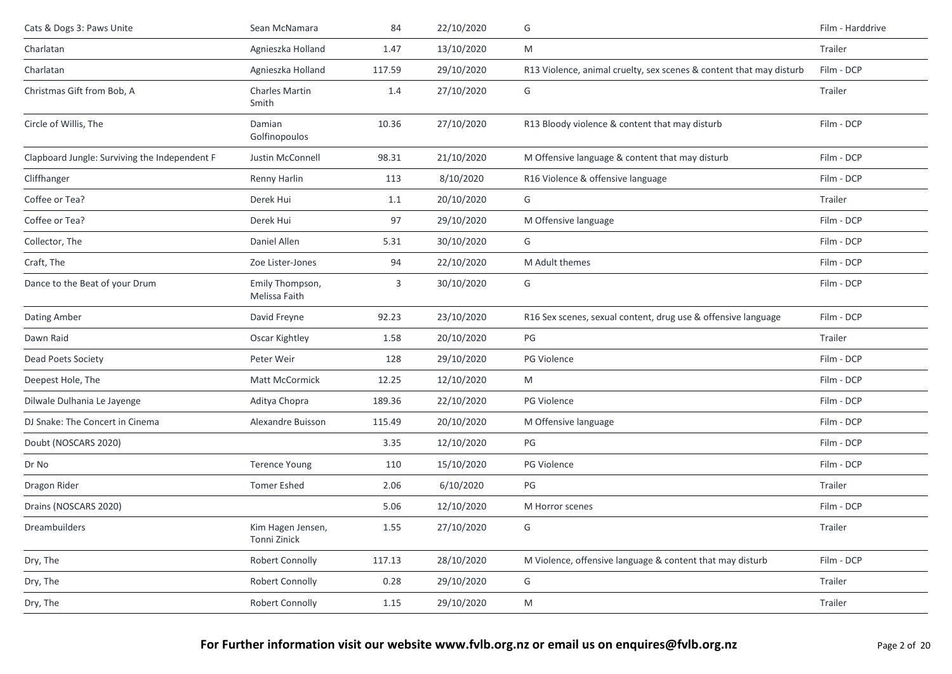| Cats & Dogs 3: Paws Unite                     | Sean McNamara                     | 84     | 22/10/2020 | G                                                                   | Film - Harddrive |
|-----------------------------------------------|-----------------------------------|--------|------------|---------------------------------------------------------------------|------------------|
| Charlatan                                     | Agnieszka Holland                 | 1.47   | 13/10/2020 | M                                                                   | Trailer          |
| Charlatan                                     | Agnieszka Holland                 | 117.59 | 29/10/2020 | R13 Violence, animal cruelty, sex scenes & content that may disturb | Film - DCP       |
| Christmas Gift from Bob, A                    | <b>Charles Martin</b><br>Smith    | 1.4    | 27/10/2020 | G                                                                   | Trailer          |
| Circle of Willis, The                         | Damian<br>Golfinopoulos           | 10.36  | 27/10/2020 | R13 Bloody violence & content that may disturb                      | Film - DCP       |
| Clapboard Jungle: Surviving the Independent F | Justin McConnell                  | 98.31  | 21/10/2020 | M Offensive language & content that may disturb                     | Film - DCP       |
| Cliffhanger                                   | Renny Harlin                      | 113    | 8/10/2020  | R16 Violence & offensive language                                   | Film - DCP       |
| Coffee or Tea?                                | Derek Hui                         | 1.1    | 20/10/2020 | G                                                                   | Trailer          |
| Coffee or Tea?                                | Derek Hui                         | 97     | 29/10/2020 | M Offensive language                                                | Film - DCP       |
| Collector, The                                | Daniel Allen                      | 5.31   | 30/10/2020 | G                                                                   | Film - DCP       |
| Craft, The                                    | Zoe Lister-Jones                  | 94     | 22/10/2020 | M Adult themes                                                      | Film - DCP       |
| Dance to the Beat of your Drum                | Emily Thompson,<br>Melissa Faith  | 3      | 30/10/2020 | G                                                                   | Film - DCP       |
| Dating Amber                                  | David Freyne                      | 92.23  | 23/10/2020 | R16 Sex scenes, sexual content, drug use & offensive language       | Film - DCP       |
| Dawn Raid                                     | Oscar Kightley                    | 1.58   | 20/10/2020 | PG                                                                  | Trailer          |
| Dead Poets Society                            | Peter Weir                        | 128    | 29/10/2020 | PG Violence                                                         | Film - DCP       |
| Deepest Hole, The                             | Matt McCormick                    | 12.25  | 12/10/2020 | M                                                                   | Film - DCP       |
| Dilwale Dulhania Le Jayenge                   | Aditya Chopra                     | 189.36 | 22/10/2020 | <b>PG Violence</b>                                                  | Film - DCP       |
| DJ Snake: The Concert in Cinema               | Alexandre Buisson                 | 115.49 | 20/10/2020 | M Offensive language                                                | Film - DCP       |
| Doubt (NOSCARS 2020)                          |                                   | 3.35   | 12/10/2020 | PG                                                                  | Film - DCP       |
| Dr No                                         | <b>Terence Young</b>              | 110    | 15/10/2020 | <b>PG Violence</b>                                                  | Film - DCP       |
| Dragon Rider                                  | <b>Tomer Eshed</b>                | 2.06   | 6/10/2020  | PG                                                                  | Trailer          |
| Drains (NOSCARS 2020)                         |                                   | 5.06   | 12/10/2020 | M Horror scenes                                                     | Film - DCP       |
| Dreambuilders                                 | Kim Hagen Jensen,<br>Tonni Zinick | 1.55   | 27/10/2020 | G                                                                   | Trailer          |
| Dry, The                                      | Robert Connolly                   | 117.13 | 28/10/2020 | M Violence, offensive language & content that may disturb           | Film - DCP       |
| Dry, The                                      | Robert Connolly                   | 0.28   | 29/10/2020 | G                                                                   | Trailer          |
| Dry, The                                      | Robert Connolly                   | 1.15   | 29/10/2020 | M                                                                   | Trailer          |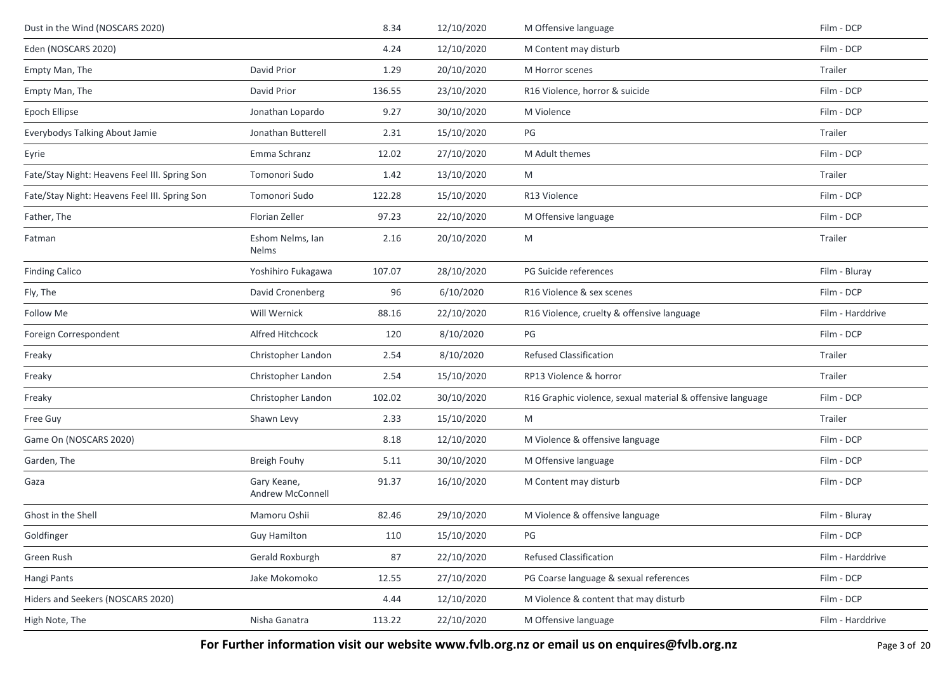| Dust in the Wind (NOSCARS 2020)               |                                  | 8.34   | 12/10/2020 | M Offensive language                                       | Film - DCP       |
|-----------------------------------------------|----------------------------------|--------|------------|------------------------------------------------------------|------------------|
| Eden (NOSCARS 2020)                           |                                  | 4.24   | 12/10/2020 | M Content may disturb                                      | Film - DCP       |
| Empty Man, The                                | David Prior                      | 1.29   | 20/10/2020 | M Horror scenes                                            | Trailer          |
| Empty Man, The                                | David Prior                      | 136.55 | 23/10/2020 | R16 Violence, horror & suicide                             | Film - DCP       |
| Epoch Ellipse                                 | Jonathan Lopardo                 | 9.27   | 30/10/2020 | M Violence                                                 | Film - DCP       |
| Everybodys Talking About Jamie                | Jonathan Butterell               | 2.31   | 15/10/2020 | PG                                                         | Trailer          |
| Eyrie                                         | Emma Schranz                     | 12.02  | 27/10/2020 | M Adult themes                                             | Film - DCP       |
| Fate/Stay Night: Heavens Feel III. Spring Son | Tomonori Sudo                    | 1.42   | 13/10/2020 | M                                                          | Trailer          |
| Fate/Stay Night: Heavens Feel III. Spring Son | Tomonori Sudo                    | 122.28 | 15/10/2020 | R13 Violence                                               | Film - DCP       |
| Father, The                                   | Florian Zeller                   | 97.23  | 22/10/2020 | M Offensive language                                       | Film - DCP       |
| Fatman                                        | Eshom Nelms, Ian<br><b>Nelms</b> | 2.16   | 20/10/2020 | M                                                          | Trailer          |
| <b>Finding Calico</b>                         | Yoshihiro Fukagawa               | 107.07 | 28/10/2020 | PG Suicide references                                      | Film - Bluray    |
| Fly, The                                      | David Cronenberg                 | 96     | 6/10/2020  | R16 Violence & sex scenes                                  | Film - DCP       |
| Follow Me                                     | Will Wernick                     | 88.16  | 22/10/2020 | R16 Violence, cruelty & offensive language                 | Film - Harddrive |
| Foreign Correspondent                         | Alfred Hitchcock                 | 120    | 8/10/2020  | PG                                                         | Film - DCP       |
| Freaky                                        | Christopher Landon               | 2.54   | 8/10/2020  | <b>Refused Classification</b>                              | Trailer          |
| Freaky                                        | Christopher Landon               | 2.54   | 15/10/2020 | RP13 Violence & horror                                     | Trailer          |
| Freaky                                        | Christopher Landon               | 102.02 | 30/10/2020 | R16 Graphic violence, sexual material & offensive language | Film - DCP       |
| Free Guy                                      | Shawn Levy                       | 2.33   | 15/10/2020 | M                                                          | Trailer          |
| Game On (NOSCARS 2020)                        |                                  | 8.18   | 12/10/2020 | M Violence & offensive language                            | Film - DCP       |
| Garden, The                                   | Breigh Fouhy                     | 5.11   | 30/10/2020 | M Offensive language                                       | Film - DCP       |
| Gaza                                          | Gary Keane,<br>Andrew McConnell  | 91.37  | 16/10/2020 | M Content may disturb                                      | Film - DCP       |
| Ghost in the Shell                            | Mamoru Oshii                     | 82.46  | 29/10/2020 | M Violence & offensive language                            | Film - Bluray    |
| Goldfinger                                    | <b>Guy Hamilton</b>              | 110    | 15/10/2020 | PG                                                         | Film - DCP       |
| Green Rush                                    | Gerald Roxburgh                  | 87     | 22/10/2020 | <b>Refused Classification</b>                              | Film - Harddrive |
| Hangi Pants                                   | Jake Mokomoko                    | 12.55  | 27/10/2020 | PG Coarse language & sexual references                     | Film - DCP       |
| Hiders and Seekers (NOSCARS 2020)             |                                  | 4.44   | 12/10/2020 | M Violence & content that may disturb                      | Film - DCP       |
| High Note, The                                | Nisha Ganatra                    | 113.22 | 22/10/2020 | M Offensive language                                       | Film - Harddrive |

**For Further information visit our website www.fvlb.org.nz or email us on enquires@fvlb.org.nz** Page 3 of 20 Page 3 of 20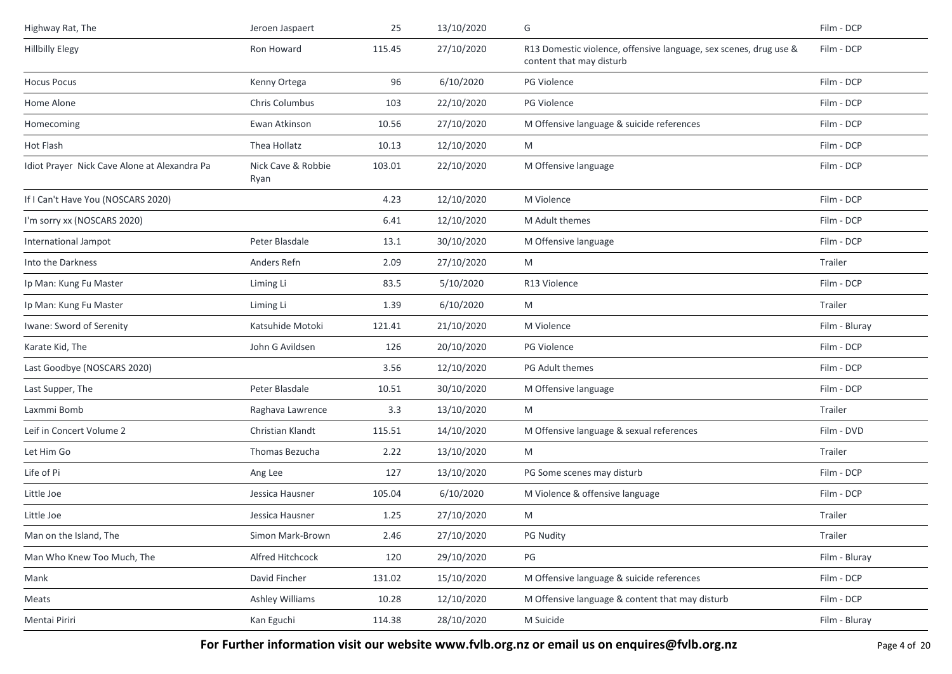| Highway Rat, The                             | Jeroen Jaspaert            | 25     | 13/10/2020 | G                                                                                             | Film - DCP    |
|----------------------------------------------|----------------------------|--------|------------|-----------------------------------------------------------------------------------------------|---------------|
| <b>Hillbilly Elegy</b>                       | Ron Howard                 | 115.45 | 27/10/2020 | R13 Domestic violence, offensive language, sex scenes, drug use &<br>content that may disturb | Film - DCP    |
| <b>Hocus Pocus</b>                           | Kenny Ortega               | 96     | 6/10/2020  | <b>PG Violence</b>                                                                            | Film - DCP    |
| Home Alone                                   | Chris Columbus             | 103    | 22/10/2020 | PG Violence                                                                                   | Film - DCP    |
| Homecoming                                   | Ewan Atkinson              | 10.56  | 27/10/2020 | M Offensive language & suicide references                                                     | Film - DCP    |
| Hot Flash                                    | Thea Hollatz               | 10.13  | 12/10/2020 | M                                                                                             | Film - DCP    |
| Idiot Prayer Nick Cave Alone at Alexandra Pa | Nick Cave & Robbie<br>Ryan | 103.01 | 22/10/2020 | M Offensive language                                                                          | Film - DCP    |
| If I Can't Have You (NOSCARS 2020)           |                            | 4.23   | 12/10/2020 | M Violence                                                                                    | Film - DCP    |
| I'm sorry xx (NOSCARS 2020)                  |                            | 6.41   | 12/10/2020 | M Adult themes                                                                                | Film - DCP    |
| International Jampot                         | Peter Blasdale             | 13.1   | 30/10/2020 | M Offensive language                                                                          | Film - DCP    |
| Into the Darkness                            | Anders Refn                | 2.09   | 27/10/2020 | M                                                                                             | Trailer       |
| Ip Man: Kung Fu Master                       | Liming Li                  | 83.5   | 5/10/2020  | R13 Violence                                                                                  | Film - DCP    |
| Ip Man: Kung Fu Master                       | Liming Li                  | 1.39   | 6/10/2020  | M                                                                                             | Trailer       |
| Iwane: Sword of Serenity                     | Katsuhide Motoki           | 121.41 | 21/10/2020 | M Violence                                                                                    | Film - Bluray |
| Karate Kid, The                              | John G Avildsen            | 126    | 20/10/2020 | PG Violence                                                                                   | Film - DCP    |
| Last Goodbye (NOSCARS 2020)                  |                            | 3.56   | 12/10/2020 | PG Adult themes                                                                               | Film - DCP    |
| Last Supper, The                             | Peter Blasdale             | 10.51  | 30/10/2020 | M Offensive language                                                                          | Film - DCP    |
| Laxmmi Bomb                                  | Raghava Lawrence           | 3.3    | 13/10/2020 | M                                                                                             | Trailer       |
| Leif in Concert Volume 2                     | Christian Klandt           | 115.51 | 14/10/2020 | M Offensive language & sexual references                                                      | Film - DVD    |
| Let Him Go                                   | Thomas Bezucha             | 2.22   | 13/10/2020 | M                                                                                             | Trailer       |
| Life of Pi                                   | Ang Lee                    | 127    | 13/10/2020 | PG Some scenes may disturb                                                                    | Film - DCP    |
| Little Joe                                   | Jessica Hausner            | 105.04 | 6/10/2020  | M Violence & offensive language                                                               | Film - DCP    |
| Little Joe                                   | Jessica Hausner            | 1.25   | 27/10/2020 | M                                                                                             | Trailer       |
| Man on the Island, The                       | Simon Mark-Brown           | 2.46   | 27/10/2020 | PG Nudity                                                                                     | Trailer       |
| Man Who Knew Too Much, The                   | Alfred Hitchcock           | 120    | 29/10/2020 | PG                                                                                            | Film - Bluray |
| Mank                                         | David Fincher              | 131.02 | 15/10/2020 | M Offensive language & suicide references                                                     | Film - DCP    |
| Meats                                        | Ashley Williams            | 10.28  | 12/10/2020 | M Offensive language & content that may disturb                                               | Film - DCP    |
| Mentai Piriri                                | Kan Eguchi                 | 114.38 | 28/10/2020 | M Suicide                                                                                     | Film - Bluray |

**For Further information visit our website www.fvlb.org.nz or email us on enquires@fvlb.org.nz** Page 4 of 20 Page 4 of 20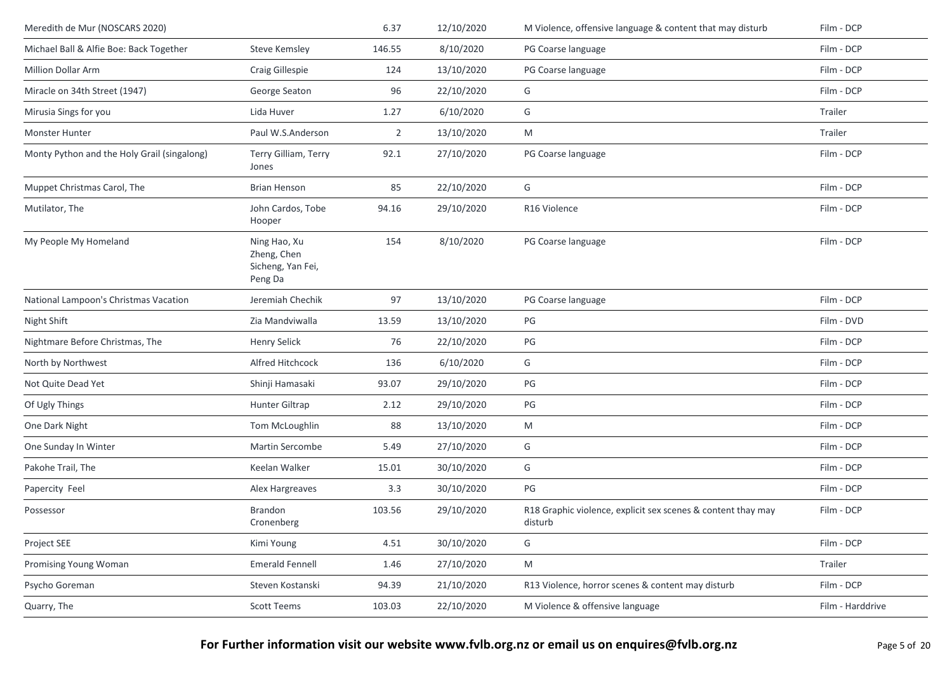| Meredith de Mur (NOSCARS 2020)              |                                                             | 6.37   | 12/10/2020 | M Violence, offensive language & content that may disturb               | Film - DCP       |
|---------------------------------------------|-------------------------------------------------------------|--------|------------|-------------------------------------------------------------------------|------------------|
| Michael Ball & Alfie Boe: Back Together     | <b>Steve Kemsley</b>                                        | 146.55 | 8/10/2020  | PG Coarse language                                                      | Film - DCP       |
| <b>Million Dollar Arm</b>                   | Craig Gillespie                                             | 124    | 13/10/2020 | PG Coarse language                                                      | Film - DCP       |
| Miracle on 34th Street (1947)               | George Seaton                                               | 96     | 22/10/2020 | G                                                                       | Film - DCP       |
| Mirusia Sings for you                       | Lida Huver                                                  | 1.27   | 6/10/2020  | G                                                                       | Trailer          |
| Monster Hunter                              | Paul W.S.Anderson                                           | 2      | 13/10/2020 | M                                                                       | Trailer          |
| Monty Python and the Holy Grail (singalong) | Terry Gilliam, Terry<br>Jones                               | 92.1   | 27/10/2020 | PG Coarse language                                                      | Film - DCP       |
| Muppet Christmas Carol, The                 | <b>Brian Henson</b>                                         | 85     | 22/10/2020 | G                                                                       | Film - DCP       |
| Mutilator, The                              | John Cardos, Tobe<br>Hooper                                 | 94.16  | 29/10/2020 | R16 Violence                                                            | Film - DCP       |
| My People My Homeland                       | Ning Hao, Xu<br>Zheng, Chen<br>Sicheng, Yan Fei,<br>Peng Da | 154    | 8/10/2020  | PG Coarse language                                                      | Film - DCP       |
| National Lampoon's Christmas Vacation       | Jeremiah Chechik                                            | 97     | 13/10/2020 | PG Coarse language                                                      | Film - DCP       |
| Night Shift                                 | Zia Mandviwalla                                             | 13.59  | 13/10/2020 | PG                                                                      | Film - DVD       |
| Nightmare Before Christmas, The             | <b>Henry Selick</b>                                         | 76     | 22/10/2020 | PG                                                                      | Film - DCP       |
| North by Northwest                          | Alfred Hitchcock                                            | 136    | 6/10/2020  | G                                                                       | Film - DCP       |
| Not Quite Dead Yet                          | Shinji Hamasaki                                             | 93.07  | 29/10/2020 | PG                                                                      | Film - DCP       |
| Of Ugly Things                              | Hunter Giltrap                                              | 2.12   | 29/10/2020 | PG                                                                      | Film - DCP       |
| One Dark Night                              | Tom McLoughlin                                              | 88     | 13/10/2020 | M                                                                       | Film - DCP       |
| One Sunday In Winter                        | Martin Sercombe                                             | 5.49   | 27/10/2020 | G                                                                       | Film - DCP       |
| Pakohe Trail, The                           | Keelan Walker                                               | 15.01  | 30/10/2020 | G                                                                       | Film - DCP       |
| Papercity Feel                              | Alex Hargreaves                                             | 3.3    | 30/10/2020 | $PG$                                                                    | Film - DCP       |
| Possessor                                   | Brandon<br>Cronenberg                                       | 103.56 | 29/10/2020 | R18 Graphic violence, explicit sex scenes & content thay may<br>disturb | Film - DCP       |
| Project SEE                                 | Kimi Young                                                  | 4.51   | 30/10/2020 | G                                                                       | Film - DCP       |
| Promising Young Woman                       | <b>Emerald Fennell</b>                                      | 1.46   | 27/10/2020 | M                                                                       | Trailer          |
| Psycho Goreman                              | Steven Kostanski                                            | 94.39  | 21/10/2020 | R13 Violence, horror scenes & content may disturb                       | Film - DCP       |
| Quarry, The                                 | <b>Scott Teems</b>                                          | 103.03 | 22/10/2020 | M Violence & offensive language                                         | Film - Harddrive |
|                                             |                                                             |        |            |                                                                         |                  |

**For Further information visit our website www.fvlb.org.nz or email us on enquires@fvlb.org.nz** Page 5 of 20 Page 5 of 20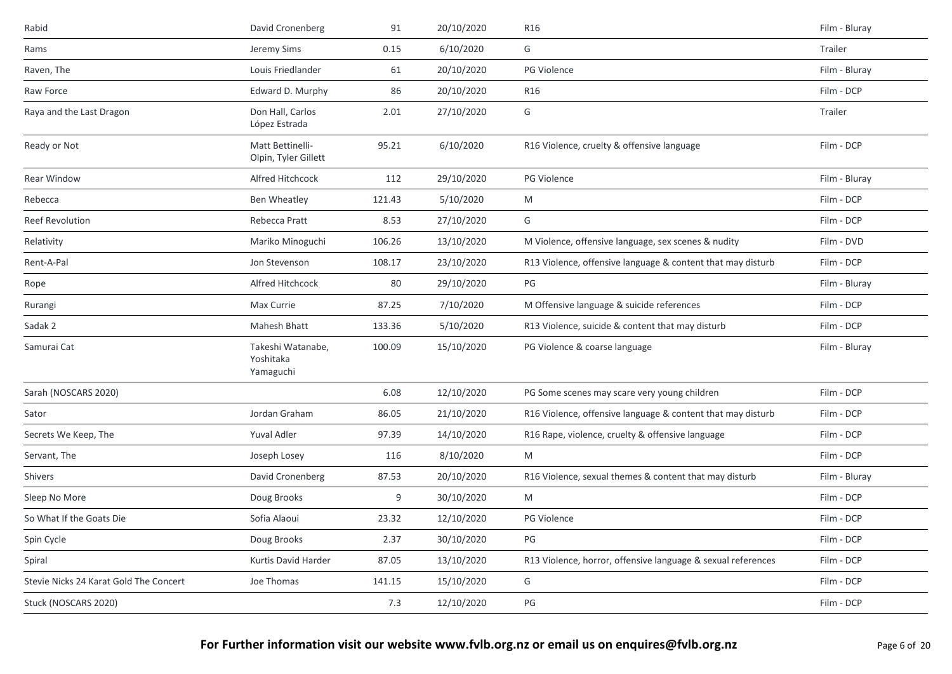| Rabid                                  | David Cronenberg                            | 91     | 20/10/2020 | R16                                                          | Film - Bluray |
|----------------------------------------|---------------------------------------------|--------|------------|--------------------------------------------------------------|---------------|
| Rams                                   | Jeremy Sims                                 | 0.15   | 6/10/2020  | G                                                            | Trailer       |
| Raven, The                             | Louis Friedlander                           | 61     | 20/10/2020 | PG Violence                                                  | Film - Bluray |
| Raw Force                              | Edward D. Murphy                            | 86     | 20/10/2020 | R16                                                          | Film - DCP    |
| Raya and the Last Dragon               | Don Hall, Carlos<br>López Estrada           | 2.01   | 27/10/2020 | G                                                            | Trailer       |
| Ready or Not                           | Matt Bettinelli-<br>Olpin, Tyler Gillett    | 95.21  | 6/10/2020  | R16 Violence, cruelty & offensive language                   | Film - DCP    |
| Rear Window                            | Alfred Hitchcock                            | 112    | 29/10/2020 | PG Violence                                                  | Film - Bluray |
| Rebecca                                | Ben Wheatley                                | 121.43 | 5/10/2020  | M                                                            | Film - DCP    |
| Reef Revolution                        | Rebecca Pratt                               | 8.53   | 27/10/2020 | G                                                            | Film - DCP    |
| Relativity                             | Mariko Minoguchi                            | 106.26 | 13/10/2020 | M Violence, offensive language, sex scenes & nudity          | Film - DVD    |
| Rent-A-Pal                             | Jon Stevenson                               | 108.17 | 23/10/2020 | R13 Violence, offensive language & content that may disturb  | Film - DCP    |
| Rope                                   | Alfred Hitchcock                            | 80     | 29/10/2020 | $PG$                                                         | Film - Bluray |
| Rurangi                                | Max Currie                                  | 87.25  | 7/10/2020  | M Offensive language & suicide references                    | Film - DCP    |
| Sadak 2                                | Mahesh Bhatt                                | 133.36 | 5/10/2020  | R13 Violence, suicide & content that may disturb             | Film - DCP    |
| Samurai Cat                            | Takeshi Watanabe,<br>Yoshitaka<br>Yamaguchi | 100.09 | 15/10/2020 | PG Violence & coarse language                                | Film - Bluray |
| Sarah (NOSCARS 2020)                   |                                             | 6.08   | 12/10/2020 | PG Some scenes may scare very young children                 | Film - DCP    |
| Sator                                  | Jordan Graham                               | 86.05  | 21/10/2020 | R16 Violence, offensive language & content that may disturb  | Film - DCP    |
| Secrets We Keep, The                   | Yuval Adler                                 | 97.39  | 14/10/2020 | R16 Rape, violence, cruelty & offensive language             | Film - DCP    |
| Servant, The                           | Joseph Losey                                | 116    | 8/10/2020  | M                                                            | Film - DCP    |
| Shivers                                | David Cronenberg                            | 87.53  | 20/10/2020 | R16 Violence, sexual themes & content that may disturb       | Film - Bluray |
| Sleep No More                          | Doug Brooks                                 | 9      | 30/10/2020 | M                                                            | Film - DCP    |
| So What If the Goats Die               | Sofia Alaoui                                | 23.32  | 12/10/2020 | PG Violence                                                  | Film - DCP    |
| Spin Cycle                             | Doug Brooks                                 | 2.37   | 30/10/2020 | PG                                                           | Film - DCP    |
| Spiral                                 | Kurtis David Harder                         | 87.05  | 13/10/2020 | R13 Violence, horror, offensive language & sexual references | Film - DCP    |
| Stevie Nicks 24 Karat Gold The Concert | Joe Thomas                                  | 141.15 | 15/10/2020 | G                                                            | Film - DCP    |
| Stuck (NOSCARS 2020)                   |                                             | 7.3    | 12/10/2020 | PG                                                           | Film - DCP    |
|                                        |                                             |        |            |                                                              |               |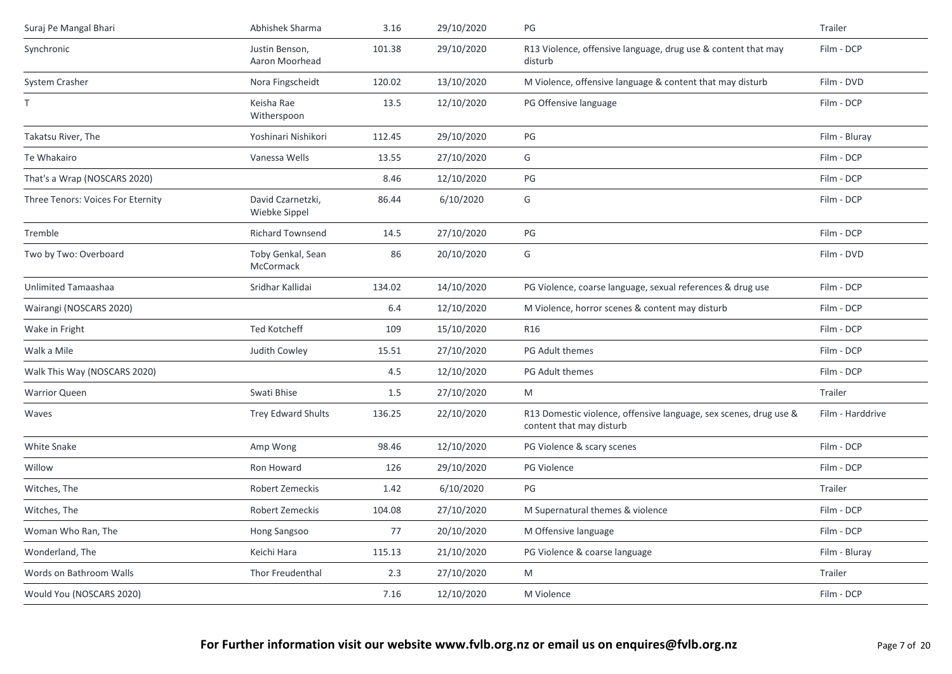| Suraj Pe Mangal Bhari             | Abhishek Sharma                    | 3.16   | 29/10/2020 | PG                                                                                            | Trailer          |
|-----------------------------------|------------------------------------|--------|------------|-----------------------------------------------------------------------------------------------|------------------|
| Synchronic                        | Justin Benson,<br>Aaron Moorhead   | 101.38 | 29/10/2020 | R13 Violence, offensive language, drug use & content that may<br>disturb                      | Film - DCP       |
| System Crasher                    | Nora Fingscheidt                   | 120.02 | 13/10/2020 | M Violence, offensive language & content that may disturb                                     | Film - DVD       |
| T                                 | Keisha Rae<br>Witherspoon          | 13.5   | 12/10/2020 | PG Offensive language                                                                         | Film - DCP       |
| Takatsu River, The                | Yoshinari Nishikori                | 112.45 | 29/10/2020 | PG                                                                                            | Film - Bluray    |
| Te Whakairo                       | Vanessa Wells                      | 13.55  | 27/10/2020 | G                                                                                             | Film - DCP       |
| That's a Wrap (NOSCARS 2020)      |                                    | 8.46   | 12/10/2020 | $\mathsf{PG}$                                                                                 | Film - DCP       |
| Three Tenors: Voices For Eternity | David Czarnetzki,<br>Wiebke Sippel | 86.44  | 6/10/2020  | G                                                                                             | Film - DCP       |
| Tremble                           | <b>Richard Townsend</b>            | 14.5   | 27/10/2020 | PG                                                                                            | Film - DCP       |
| Two by Two: Overboard             | Toby Genkal, Sean<br>McCormack     | 86     | 20/10/2020 | G                                                                                             | Film - DVD       |
| Unlimited Tamaashaa               | Sridhar Kallidai                   | 134.02 | 14/10/2020 | PG Violence, coarse language, sexual references & drug use                                    | Film - DCP       |
| Wairangi (NOSCARS 2020)           |                                    | 6.4    | 12/10/2020 | M Violence, horror scenes & content may disturb                                               | Film - DCP       |
| Wake in Fright                    | <b>Ted Kotcheff</b>                | 109    | 15/10/2020 | R <sub>16</sub>                                                                               | Film - DCP       |
| Walk a Mile                       | Judith Cowley                      | 15.51  | 27/10/2020 | PG Adult themes                                                                               | Film - DCP       |
| Walk This Way (NOSCARS 2020)      |                                    | 4.5    | 12/10/2020 | PG Adult themes                                                                               | Film - DCP       |
| <b>Warrior Queen</b>              | Swati Bhise                        | 1.5    | 27/10/2020 | M                                                                                             | Trailer          |
| Waves                             | <b>Trey Edward Shults</b>          | 136.25 | 22/10/2020 | R13 Domestic violence, offensive language, sex scenes, drug use &<br>content that may disturb | Film - Harddrive |
| White Snake                       | Amp Wong                           | 98.46  | 12/10/2020 | PG Violence & scary scenes                                                                    | Film - DCP       |
| Willow                            | Ron Howard                         | 126    | 29/10/2020 | PG Violence                                                                                   | Film - DCP       |
| Witches, The                      | Robert Zemeckis                    | 1.42   | 6/10/2020  | PG                                                                                            | <b>Trailer</b>   |
| Witches, The                      | Robert Zemeckis                    | 104.08 | 27/10/2020 | M Supernatural themes & violence                                                              | Film - DCP       |
| Woman Who Ran, The                | Hong Sangsoo                       | 77     | 20/10/2020 | M Offensive language                                                                          | Film - DCP       |
| Wonderland, The                   | Keichi Hara                        | 115.13 | 21/10/2020 | PG Violence & coarse language                                                                 | Film - Bluray    |
| Words on Bathroom Walls           | Thor Freudenthal                   | 2.3    | 27/10/2020 | M                                                                                             | Trailer          |
| Would You (NOSCARS 2020)          |                                    | 7.16   | 12/10/2020 | M Violence                                                                                    | Film - DCP       |
|                                   |                                    |        |            |                                                                                               |                  |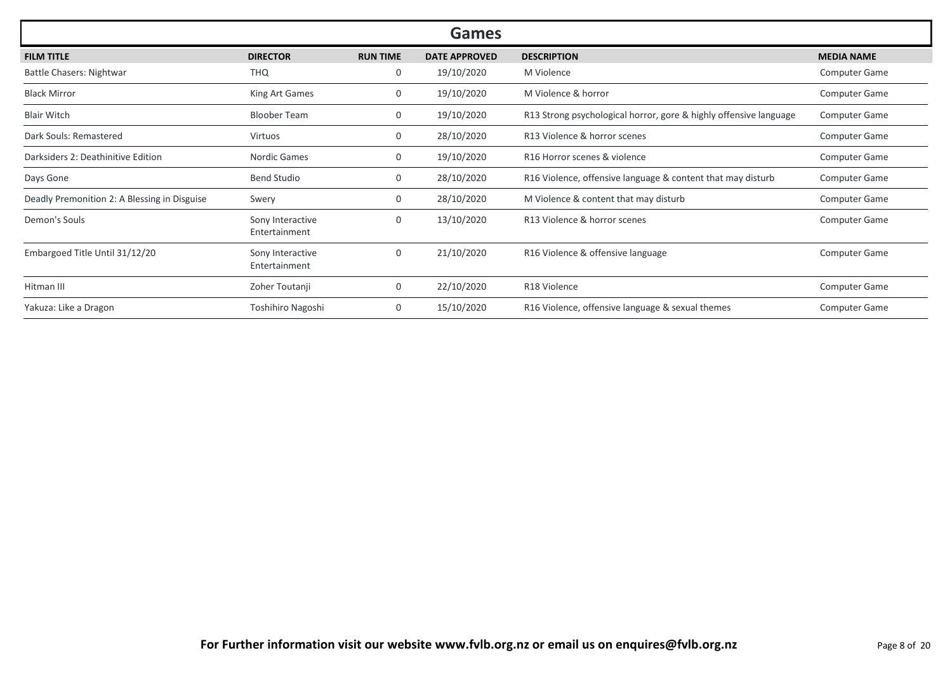| <b>Games</b>                                 |                                   |                 |                      |                                                                   |                      |  |  |  |
|----------------------------------------------|-----------------------------------|-----------------|----------------------|-------------------------------------------------------------------|----------------------|--|--|--|
| <b>FILM TITLE</b>                            | <b>DIRECTOR</b>                   | <b>RUN TIME</b> | <b>DATE APPROVED</b> | <b>DESCRIPTION</b>                                                | <b>MEDIA NAME</b>    |  |  |  |
| Battle Chasers: Nightwar                     | <b>THQ</b>                        | 0               | 19/10/2020           | M Violence                                                        | <b>Computer Game</b> |  |  |  |
| <b>Black Mirror</b>                          | King Art Games                    | 0               | 19/10/2020           | M Violence & horror                                               | <b>Computer Game</b> |  |  |  |
| <b>Blair Witch</b>                           | <b>Bloober Team</b>               | 0               | 19/10/2020           | R13 Strong psychological horror, gore & highly offensive language | Computer Game        |  |  |  |
| Dark Souls: Remastered                       | Virtuos                           | 0               | 28/10/2020           | R13 Violence & horror scenes                                      | <b>Computer Game</b> |  |  |  |
| Darksiders 2: Deathinitive Edition           | Nordic Games                      | $\mathbf{0}$    | 19/10/2020           | R16 Horror scenes & violence                                      | <b>Computer Game</b> |  |  |  |
| Days Gone                                    | <b>Bend Studio</b>                | $\mathbf{0}$    | 28/10/2020           | R16 Violence, offensive language & content that may disturb       | <b>Computer Game</b> |  |  |  |
| Deadly Premonition 2: A Blessing in Disguise | Swery                             | $\mathbf{0}$    | 28/10/2020           | M Violence & content that may disturb                             | <b>Computer Game</b> |  |  |  |
| Demon's Souls                                | Sony Interactive<br>Entertainment | 0               | 13/10/2020           | R13 Violence & horror scenes                                      | Computer Game        |  |  |  |
| Embargoed Title Until 31/12/20               | Sony Interactive<br>Entertainment | 0               | 21/10/2020           | R16 Violence & offensive language                                 | Computer Game        |  |  |  |
| Hitman III                                   | Zoher Toutanji                    | $\mathbf{0}$    | 22/10/2020           | R18 Violence                                                      | <b>Computer Game</b> |  |  |  |
| Yakuza: Like a Dragon                        | Toshihiro Nagoshi                 | $\mathbf{0}$    | 15/10/2020           | R16 Violence, offensive language & sexual themes                  | <b>Computer Game</b> |  |  |  |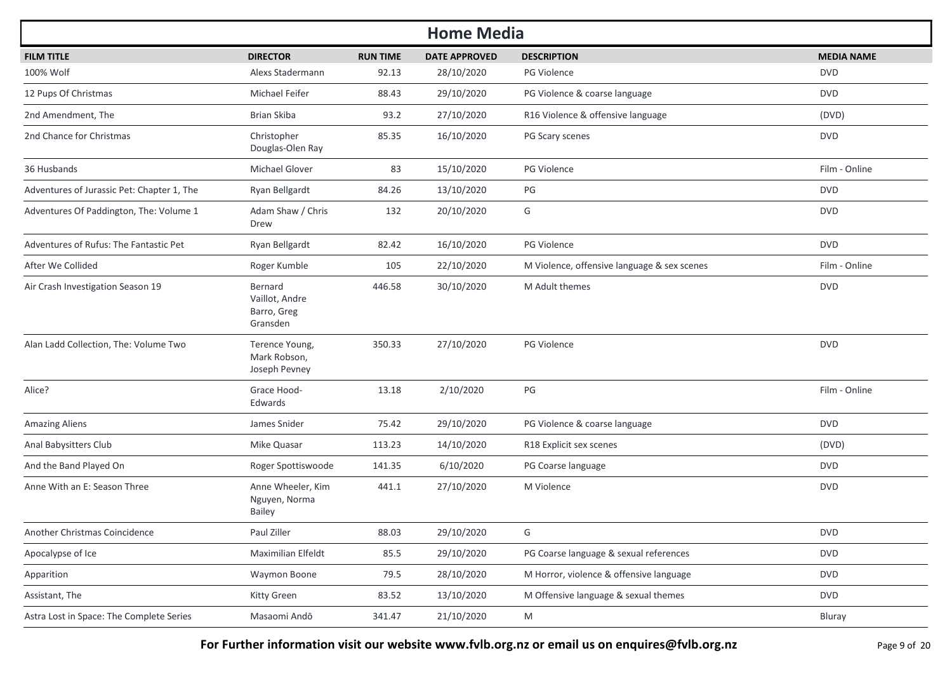| <b>Home Media</b>                          |                                                      |                 |                      |                                             |                   |  |  |  |
|--------------------------------------------|------------------------------------------------------|-----------------|----------------------|---------------------------------------------|-------------------|--|--|--|
| <b>FILM TITLE</b>                          | <b>DIRECTOR</b>                                      | <b>RUN TIME</b> | <b>DATE APPROVED</b> | <b>DESCRIPTION</b>                          | <b>MEDIA NAME</b> |  |  |  |
| 100% Wolf                                  | Alexs Stadermann                                     | 92.13           | 28/10/2020           | PG Violence                                 | <b>DVD</b>        |  |  |  |
| 12 Pups Of Christmas                       | Michael Feifer                                       | 88.43           | 29/10/2020           | PG Violence & coarse language               | <b>DVD</b>        |  |  |  |
| 2nd Amendment, The                         | Brian Skiba                                          | 93.2            | 27/10/2020           | R16 Violence & offensive language           | (DVD)             |  |  |  |
| 2nd Chance for Christmas                   | Christopher<br>Douglas-Olen Ray                      | 85.35           | 16/10/2020           | PG Scary scenes                             | <b>DVD</b>        |  |  |  |
| 36 Husbands                                | Michael Glover                                       | 83              | 15/10/2020           | PG Violence                                 | Film - Online     |  |  |  |
| Adventures of Jurassic Pet: Chapter 1, The | Ryan Bellgardt                                       | 84.26           | 13/10/2020           | PG                                          | <b>DVD</b>        |  |  |  |
| Adventures Of Paddington, The: Volume 1    | Adam Shaw / Chris<br>Drew                            | 132             | 20/10/2020           | G                                           | <b>DVD</b>        |  |  |  |
| Adventures of Rufus: The Fantastic Pet     | Ryan Bellgardt                                       | 82.42           | 16/10/2020           | <b>PG Violence</b>                          | <b>DVD</b>        |  |  |  |
| After We Collided                          | Roger Kumble                                         | 105             | 22/10/2020           | M Violence, offensive language & sex scenes | Film - Online     |  |  |  |
| Air Crash Investigation Season 19          | Bernard<br>Vaillot, Andre<br>Barro, Greg<br>Gransden | 446.58          | 30/10/2020           | M Adult themes                              | <b>DVD</b>        |  |  |  |
| Alan Ladd Collection, The: Volume Two      | Terence Young,<br>Mark Robson,<br>Joseph Pevney      | 350.33          | 27/10/2020           | <b>PG Violence</b>                          | <b>DVD</b>        |  |  |  |
| Alice?                                     | Grace Hood-<br>Edwards                               | 13.18           | 2/10/2020            | $PG$                                        | Film - Online     |  |  |  |
| <b>Amazing Aliens</b>                      | James Snider                                         | 75.42           | 29/10/2020           | PG Violence & coarse language               | <b>DVD</b>        |  |  |  |
| Anal Babysitters Club                      | Mike Quasar                                          | 113.23          | 14/10/2020           | R18 Explicit sex scenes                     | (DVD)             |  |  |  |
| And the Band Played On                     | Roger Spottiswoode                                   | 141.35          | 6/10/2020            | PG Coarse language                          | <b>DVD</b>        |  |  |  |
| Anne With an E: Season Three               | Anne Wheeler, Kim<br>Nguyen, Norma<br><b>Bailey</b>  | 441.1           | 27/10/2020           | M Violence                                  | <b>DVD</b>        |  |  |  |
| Another Christmas Coincidence              | Paul Ziller                                          | 88.03           | 29/10/2020           | G                                           | <b>DVD</b>        |  |  |  |
| Apocalypse of Ice                          | Maximilian Elfeldt                                   | 85.5            | 29/10/2020           | PG Coarse language & sexual references      | <b>DVD</b>        |  |  |  |
| Apparition                                 | Waymon Boone                                         | 79.5            | 28/10/2020           | M Horror, violence & offensive language     | <b>DVD</b>        |  |  |  |
| Assistant, The                             | Kitty Green                                          | 83.52           | 13/10/2020           | M Offensive language & sexual themes        | <b>DVD</b>        |  |  |  |
| Astra Lost in Space: The Complete Series   | Masaomi Andō                                         | 341.47          | 21/10/2020           | M                                           | Bluray            |  |  |  |

**For Further information visit our website www.fvlb.org.nz or email us on enquires@fvlb.org.nz** Page 9 of 20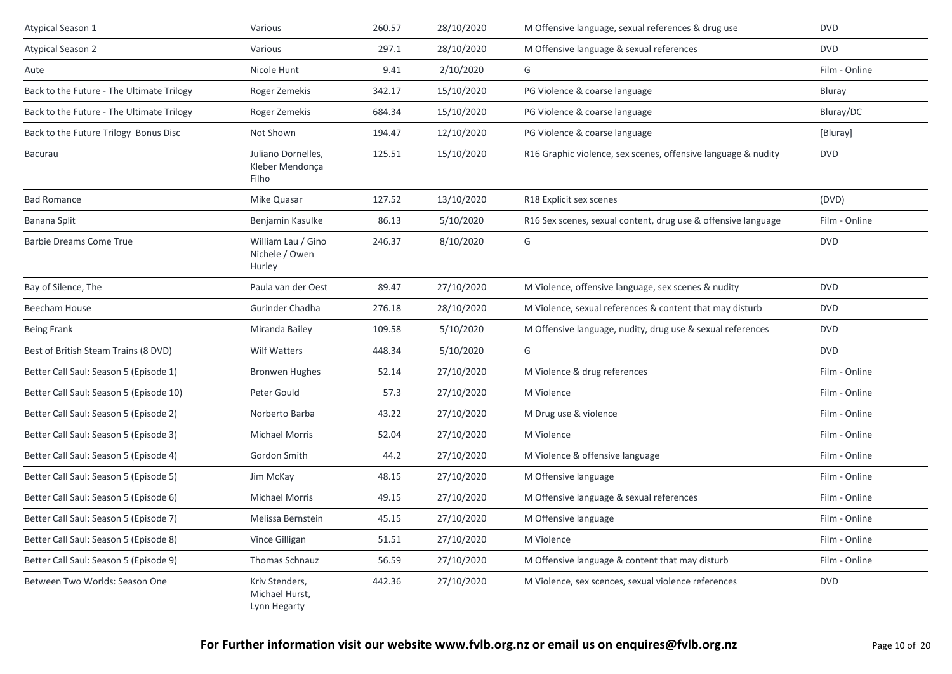| Atypical Season 1                         | Various                                          | 260.57 | 28/10/2020 | M Offensive language, sexual references & drug use            | <b>DVD</b>    |
|-------------------------------------------|--------------------------------------------------|--------|------------|---------------------------------------------------------------|---------------|
| <b>Atypical Season 2</b>                  | Various                                          | 297.1  | 28/10/2020 | M Offensive language & sexual references                      | <b>DVD</b>    |
| Aute                                      | Nicole Hunt                                      | 9.41   | 2/10/2020  | G                                                             | Film - Online |
| Back to the Future - The Ultimate Trilogy | Roger Zemekis                                    | 342.17 | 15/10/2020 | PG Violence & coarse language                                 | Bluray        |
| Back to the Future - The Ultimate Trilogy | Roger Zemekis                                    | 684.34 | 15/10/2020 | PG Violence & coarse language                                 | Bluray/DC     |
| Back to the Future Trilogy Bonus Disc     | Not Shown                                        | 194.47 | 12/10/2020 | PG Violence & coarse language                                 | [Bluray]      |
| Bacurau                                   | Juliano Dornelles,<br>Kleber Mendonça<br>Filho   | 125.51 | 15/10/2020 | R16 Graphic violence, sex scenes, offensive language & nudity | <b>DVD</b>    |
| <b>Bad Romance</b>                        | Mike Quasar                                      | 127.52 | 13/10/2020 | R18 Explicit sex scenes                                       | (DVD)         |
| Banana Split                              | Benjamin Kasulke                                 | 86.13  | 5/10/2020  | R16 Sex scenes, sexual content, drug use & offensive language | Film - Online |
| <b>Barbie Dreams Come True</b>            | William Lau / Gino<br>Nichele / Owen<br>Hurley   | 246.37 | 8/10/2020  | G                                                             | <b>DVD</b>    |
| Bay of Silence, The                       | Paula van der Oest                               | 89.47  | 27/10/2020 | M Violence, offensive language, sex scenes & nudity           | <b>DVD</b>    |
| Beecham House                             | Gurinder Chadha                                  | 276.18 | 28/10/2020 | M Violence, sexual references & content that may disturb      | <b>DVD</b>    |
| <b>Being Frank</b>                        | Miranda Bailey                                   | 109.58 | 5/10/2020  | M Offensive language, nudity, drug use & sexual references    | <b>DVD</b>    |
| Best of British Steam Trains (8 DVD)      | Wilf Watters                                     | 448.34 | 5/10/2020  | G                                                             | <b>DVD</b>    |
| Better Call Saul: Season 5 (Episode 1)    | <b>Bronwen Hughes</b>                            | 52.14  | 27/10/2020 | M Violence & drug references                                  | Film - Online |
| Better Call Saul: Season 5 (Episode 10)   | Peter Gould                                      | 57.3   | 27/10/2020 | M Violence                                                    | Film - Online |
| Better Call Saul: Season 5 (Episode 2)    | Norberto Barba                                   | 43.22  | 27/10/2020 | M Drug use & violence                                         | Film - Online |
| Better Call Saul: Season 5 (Episode 3)    | Michael Morris                                   | 52.04  | 27/10/2020 | M Violence                                                    | Film - Online |
| Better Call Saul: Season 5 (Episode 4)    | Gordon Smith                                     | 44.2   | 27/10/2020 | M Violence & offensive language                               | Film - Online |
| Better Call Saul: Season 5 (Episode 5)    | Jim McKay                                        | 48.15  | 27/10/2020 | M Offensive language                                          | Film - Online |
| Better Call Saul: Season 5 (Episode 6)    | <b>Michael Morris</b>                            | 49.15  | 27/10/2020 | M Offensive language & sexual references                      | Film - Online |
| Better Call Saul: Season 5 (Episode 7)    | Melissa Bernstein                                | 45.15  | 27/10/2020 | M Offensive language                                          | Film - Online |
| Better Call Saul: Season 5 (Episode 8)    | Vince Gilligan                                   | 51.51  | 27/10/2020 | M Violence                                                    | Film - Online |
| Better Call Saul: Season 5 (Episode 9)    | <b>Thomas Schnauz</b>                            | 56.59  | 27/10/2020 | M Offensive language & content that may disturb               | Film - Online |
| Between Two Worlds: Season One            | Kriv Stenders,<br>Michael Hurst,<br>Lynn Hegarty | 442.36 | 27/10/2020 | M Violence, sex scences, sexual violence references           | <b>DVD</b>    |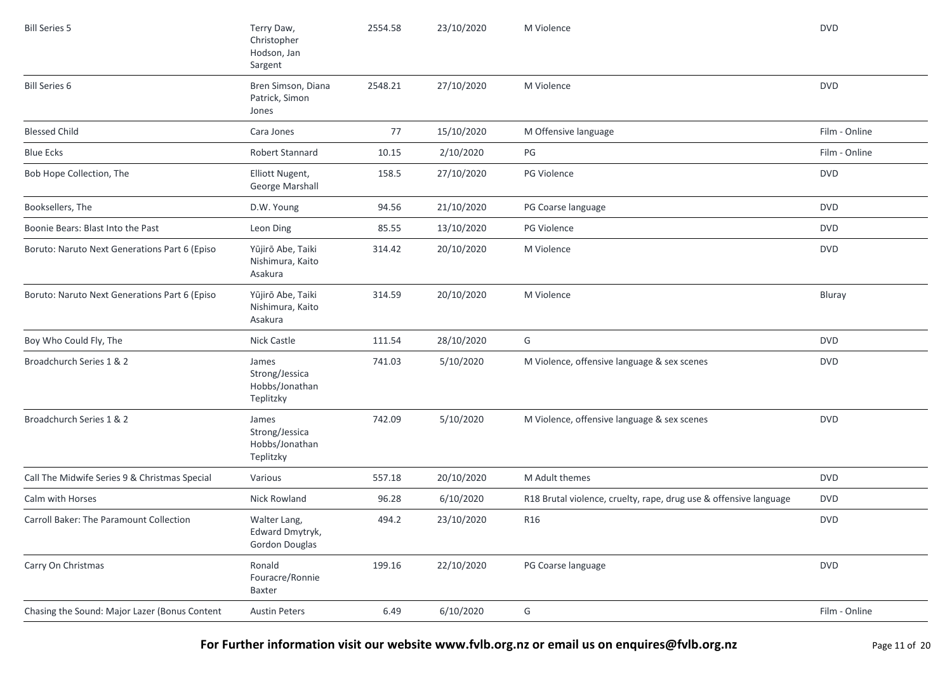| <b>Bill Series 5</b>                          | Terry Daw,<br>Christopher<br>Hodson, Jan<br>Sargent      | 2554.58 | 23/10/2020 | M Violence                                                        | <b>DVD</b>    |
|-----------------------------------------------|----------------------------------------------------------|---------|------------|-------------------------------------------------------------------|---------------|
| <b>Bill Series 6</b>                          | Bren Simson, Diana<br>Patrick, Simon<br>Jones            | 2548.21 | 27/10/2020 | M Violence                                                        | <b>DVD</b>    |
| <b>Blessed Child</b>                          | Cara Jones                                               | 77      | 15/10/2020 | M Offensive language                                              | Film - Online |
| <b>Blue Ecks</b>                              | Robert Stannard                                          | 10.15   | 2/10/2020  | PG                                                                | Film - Online |
| Bob Hope Collection, The                      | Elliott Nugent,<br>George Marshall                       | 158.5   | 27/10/2020 | PG Violence                                                       | <b>DVD</b>    |
| Booksellers, The                              | D.W. Young                                               | 94.56   | 21/10/2020 | PG Coarse language                                                | <b>DVD</b>    |
| Boonie Bears: Blast Into the Past             | Leon Ding                                                | 85.55   | 13/10/2020 | PG Violence                                                       | <b>DVD</b>    |
| Boruto: Naruto Next Generations Part 6 (Episo | Yūjirō Abe, Taiki<br>Nishimura, Kaito<br>Asakura         | 314.42  | 20/10/2020 | M Violence                                                        | <b>DVD</b>    |
| Boruto: Naruto Next Generations Part 6 (Episo | Yūjirō Abe, Taiki<br>Nishimura, Kaito<br>Asakura         | 314.59  | 20/10/2020 | M Violence                                                        | Bluray        |
| Boy Who Could Fly, The                        | Nick Castle                                              | 111.54  | 28/10/2020 | G                                                                 | <b>DVD</b>    |
| Broadchurch Series 1 & 2                      | James<br>Strong/Jessica<br>Hobbs/Jonathan<br>Teplitzky   | 741.03  | 5/10/2020  | M Violence, offensive language & sex scenes                       | <b>DVD</b>    |
| Broadchurch Series 1 & 2                      | James<br>Strong/Jessica<br>Hobbs/Jonathan<br>Teplitzky   | 742.09  | 5/10/2020  | M Violence, offensive language & sex scenes                       | <b>DVD</b>    |
| Call The Midwife Series 9 & Christmas Special | Various                                                  | 557.18  | 20/10/2020 | M Adult themes                                                    | <b>DVD</b>    |
| Calm with Horses                              | Nick Rowland                                             | 96.28   | 6/10/2020  | R18 Brutal violence, cruelty, rape, drug use & offensive language | <b>DVD</b>    |
| Carroll Baker: The Paramount Collection       | Walter Lang,<br>Edward Dmytryk,<br><b>Gordon Douglas</b> | 494.2   | 23/10/2020 | R16                                                               | <b>DVD</b>    |
| Carry On Christmas                            | Ronald<br>Fouracre/Ronnie<br>Baxter                      | 199.16  | 22/10/2020 | PG Coarse language                                                | <b>DVD</b>    |
| Chasing the Sound: Major Lazer (Bonus Content | <b>Austin Peters</b>                                     | 6.49    | 6/10/2020  | G                                                                 | Film - Online |

**For Further information visit our website www.fvlb.org.nz or email us on enquires@fvlb.org.nz** Page 11 of 20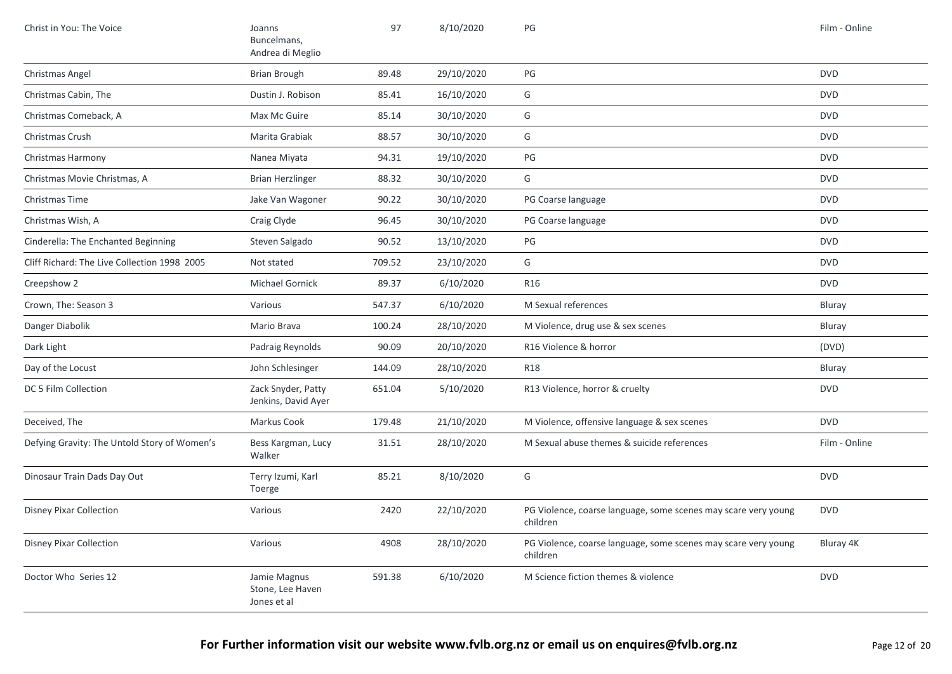| Christ in You: The Voice                     | Joanns<br>Buncelmans,<br>Andrea di Meglio       | 97     | 8/10/2020  | PG                                                                         | Film - Online |
|----------------------------------------------|-------------------------------------------------|--------|------------|----------------------------------------------------------------------------|---------------|
| Christmas Angel                              | <b>Brian Brough</b>                             | 89.48  | 29/10/2020 | $\mathsf{PG}$                                                              | <b>DVD</b>    |
| Christmas Cabin, The                         | Dustin J. Robison                               | 85.41  | 16/10/2020 | G                                                                          | <b>DVD</b>    |
| Christmas Comeback, A                        | Max Mc Guire                                    | 85.14  | 30/10/2020 | G                                                                          | <b>DVD</b>    |
| Christmas Crush                              | Marita Grabiak                                  | 88.57  | 30/10/2020 | G                                                                          | <b>DVD</b>    |
| Christmas Harmony                            | Nanea Miyata                                    | 94.31  | 19/10/2020 | PG                                                                         | <b>DVD</b>    |
| Christmas Movie Christmas, A                 | <b>Brian Herzlinger</b>                         | 88.32  | 30/10/2020 | G                                                                          | <b>DVD</b>    |
| Christmas Time                               | Jake Van Wagoner                                | 90.22  | 30/10/2020 | PG Coarse language                                                         | <b>DVD</b>    |
| Christmas Wish, A                            | Craig Clyde                                     | 96.45  | 30/10/2020 | PG Coarse language                                                         | <b>DVD</b>    |
| Cinderella: The Enchanted Beginning          | Steven Salgado                                  | 90.52  | 13/10/2020 | PG                                                                         | <b>DVD</b>    |
| Cliff Richard: The Live Collection 1998 2005 | Not stated                                      | 709.52 | 23/10/2020 | G                                                                          | <b>DVD</b>    |
| Creepshow 2                                  | Michael Gornick                                 | 89.37  | 6/10/2020  | <b>R16</b>                                                                 | <b>DVD</b>    |
| Crown, The: Season 3                         | Various                                         | 547.37 | 6/10/2020  | M Sexual references                                                        | Bluray        |
| Danger Diabolik                              | Mario Brava                                     | 100.24 | 28/10/2020 | M Violence, drug use & sex scenes                                          | Bluray        |
| Dark Light                                   | Padraig Reynolds                                | 90.09  | 20/10/2020 | R16 Violence & horror                                                      | (DVD)         |
| Day of the Locust                            | John Schlesinger                                | 144.09 | 28/10/2020 | <b>R18</b>                                                                 | Bluray        |
| DC 5 Film Collection                         | Zack Snyder, Patty<br>Jenkins, David Ayer       | 651.04 | 5/10/2020  | R13 Violence, horror & cruelty                                             | <b>DVD</b>    |
| Deceived, The                                | Markus Cook                                     | 179.48 | 21/10/2020 | M Violence, offensive language & sex scenes                                | <b>DVD</b>    |
| Defying Gravity: The Untold Story of Women's | Bess Kargman, Lucy<br>Walker                    | 31.51  | 28/10/2020 | M Sexual abuse themes & suicide references                                 | Film - Online |
| Dinosaur Train Dads Day Out                  | Terry Izumi, Karl<br>Toerge                     | 85.21  | 8/10/2020  | G                                                                          | <b>DVD</b>    |
| <b>Disney Pixar Collection</b>               | Various                                         | 2420   | 22/10/2020 | PG Violence, coarse language, some scenes may scare very young<br>children | <b>DVD</b>    |
| <b>Disney Pixar Collection</b>               | Various                                         | 4908   | 28/10/2020 | PG Violence, coarse language, some scenes may scare very young<br>children | Bluray 4K     |
| Doctor Who Series 12                         | Jamie Magnus<br>Stone, Lee Haven<br>Jones et al | 591.38 | 6/10/2020  | M Science fiction themes & violence                                        | <b>DVD</b>    |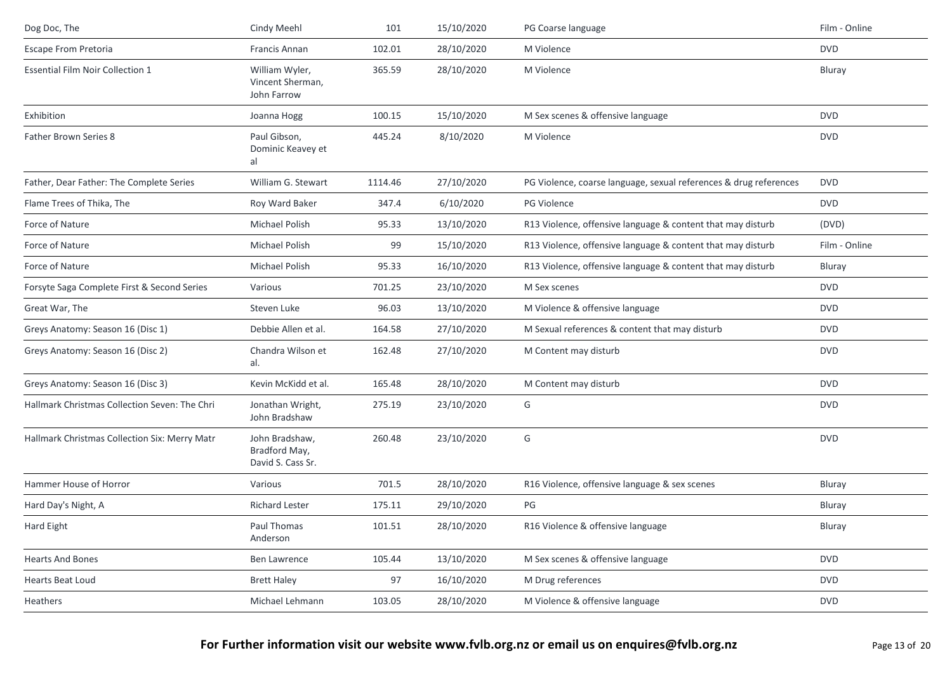| Dog Doc, The                                  | Cindy Meehl                                          | 101     | 15/10/2020 | PG Coarse language                                                | Film - Online |
|-----------------------------------------------|------------------------------------------------------|---------|------------|-------------------------------------------------------------------|---------------|
| Escape From Pretoria                          | Francis Annan                                        | 102.01  | 28/10/2020 | M Violence                                                        | <b>DVD</b>    |
| <b>Essential Film Noir Collection 1</b>       | William Wyler,<br>Vincent Sherman,<br>John Farrow    | 365.59  | 28/10/2020 | M Violence                                                        | Bluray        |
| Exhibition                                    | Joanna Hogg                                          | 100.15  | 15/10/2020 | M Sex scenes & offensive language                                 | <b>DVD</b>    |
| Father Brown Series 8                         | Paul Gibson,<br>Dominic Keavey et<br>al              | 445.24  | 8/10/2020  | M Violence                                                        | <b>DVD</b>    |
| Father, Dear Father: The Complete Series      | William G. Stewart                                   | 1114.46 | 27/10/2020 | PG Violence, coarse language, sexual references & drug references | <b>DVD</b>    |
| Flame Trees of Thika, The                     | Roy Ward Baker                                       | 347.4   | 6/10/2020  | PG Violence                                                       | <b>DVD</b>    |
| Force of Nature                               | Michael Polish                                       | 95.33   | 13/10/2020 | R13 Violence, offensive language & content that may disturb       | (DVD)         |
| Force of Nature                               | Michael Polish                                       | 99      | 15/10/2020 | R13 Violence, offensive language & content that may disturb       | Film - Online |
| Force of Nature                               | Michael Polish                                       | 95.33   | 16/10/2020 | R13 Violence, offensive language & content that may disturb       | Bluray        |
| Forsyte Saga Complete First & Second Series   | Various                                              | 701.25  | 23/10/2020 | M Sex scenes                                                      | <b>DVD</b>    |
| Great War, The                                | Steven Luke                                          | 96.03   | 13/10/2020 | M Violence & offensive language                                   | <b>DVD</b>    |
| Greys Anatomy: Season 16 (Disc 1)             | Debbie Allen et al.                                  | 164.58  | 27/10/2020 | M Sexual references & content that may disturb                    | <b>DVD</b>    |
| Greys Anatomy: Season 16 (Disc 2)             | Chandra Wilson et<br>al.                             | 162.48  | 27/10/2020 | M Content may disturb                                             | <b>DVD</b>    |
| Greys Anatomy: Season 16 (Disc 3)             | Kevin McKidd et al.                                  | 165.48  | 28/10/2020 | M Content may disturb                                             | <b>DVD</b>    |
| Hallmark Christmas Collection Seven: The Chri | Jonathan Wright,<br>John Bradshaw                    | 275.19  | 23/10/2020 | G                                                                 | <b>DVD</b>    |
| Hallmark Christmas Collection Six: Merry Matr | John Bradshaw,<br>Bradford May,<br>David S. Cass Sr. | 260.48  | 23/10/2020 | G                                                                 | <b>DVD</b>    |
| Hammer House of Horror                        | Various                                              | 701.5   | 28/10/2020 | R16 Violence, offensive language & sex scenes                     | Bluray        |
| Hard Day's Night, A                           | <b>Richard Lester</b>                                | 175.11  | 29/10/2020 | PG                                                                | Bluray        |
| Hard Eight                                    | Paul Thomas<br>Anderson                              | 101.51  | 28/10/2020 | R16 Violence & offensive language                                 | Bluray        |
| <b>Hearts And Bones</b>                       | Ben Lawrence                                         | 105.44  | 13/10/2020 | M Sex scenes & offensive language                                 | <b>DVD</b>    |
| Hearts Beat Loud                              | <b>Brett Haley</b>                                   | 97      | 16/10/2020 | M Drug references                                                 | <b>DVD</b>    |
| Heathers                                      | Michael Lehmann                                      | 103.05  | 28/10/2020 | M Violence & offensive language                                   | <b>DVD</b>    |
|                                               |                                                      |         |            |                                                                   |               |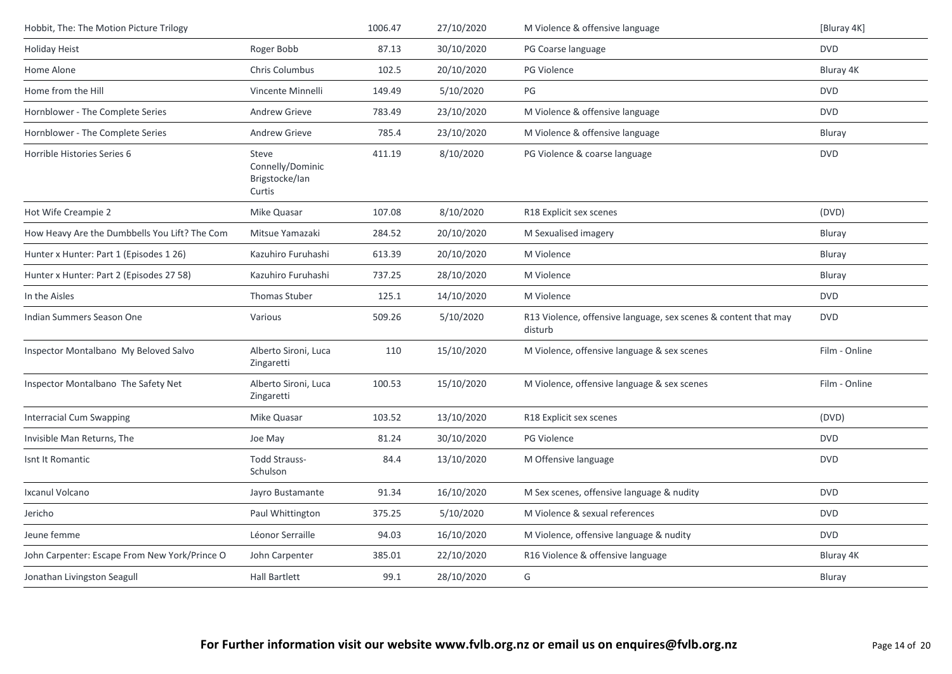| Hobbit, The: The Motion Picture Trilogy       |                                                       | 1006.47 | 27/10/2020 | M Violence & offensive language                                            | [Bluray 4K]   |
|-----------------------------------------------|-------------------------------------------------------|---------|------------|----------------------------------------------------------------------------|---------------|
| <b>Holiday Heist</b>                          | Roger Bobb                                            | 87.13   | 30/10/2020 | PG Coarse language                                                         | <b>DVD</b>    |
| Home Alone                                    | Chris Columbus                                        | 102.5   | 20/10/2020 | <b>PG Violence</b>                                                         | Bluray 4K     |
| Home from the Hill                            | Vincente Minnelli                                     | 149.49  | 5/10/2020  | $\mathsf{PG}$                                                              | <b>DVD</b>    |
| Hornblower - The Complete Series              | Andrew Grieve                                         | 783.49  | 23/10/2020 | M Violence & offensive language                                            | <b>DVD</b>    |
| Hornblower - The Complete Series              | Andrew Grieve                                         | 785.4   | 23/10/2020 | M Violence & offensive language                                            | Bluray        |
| Horrible Histories Series 6                   | Steve<br>Connelly/Dominic<br>Brigstocke/Ian<br>Curtis | 411.19  | 8/10/2020  | PG Violence & coarse language                                              | <b>DVD</b>    |
| Hot Wife Creampie 2                           | Mike Quasar                                           | 107.08  | 8/10/2020  | R18 Explicit sex scenes                                                    | (DVD)         |
| How Heavy Are the Dumbbells You Lift? The Com | Mitsue Yamazaki                                       | 284.52  | 20/10/2020 | M Sexualised imagery                                                       | Bluray        |
| Hunter x Hunter: Part 1 (Episodes 1 26)       | Kazuhiro Furuhashi                                    | 613.39  | 20/10/2020 | M Violence                                                                 | Bluray        |
| Hunter x Hunter: Part 2 (Episodes 27 58)      | Kazuhiro Furuhashi                                    | 737.25  | 28/10/2020 | M Violence                                                                 | Bluray        |
| In the Aisles                                 | <b>Thomas Stuber</b>                                  | 125.1   | 14/10/2020 | M Violence                                                                 | <b>DVD</b>    |
| Indian Summers Season One                     | Various                                               | 509.26  | 5/10/2020  | R13 Violence, offensive language, sex scenes & content that may<br>disturb | <b>DVD</b>    |
| Inspector Montalbano My Beloved Salvo         | Alberto Sironi, Luca<br>Zingaretti                    | 110     | 15/10/2020 | M Violence, offensive language & sex scenes                                | Film - Online |
| Inspector Montalbano The Safety Net           | Alberto Sironi, Luca<br>Zingaretti                    | 100.53  | 15/10/2020 | M Violence, offensive language & sex scenes                                | Film - Online |
| Interracial Cum Swapping                      | Mike Quasar                                           | 103.52  | 13/10/2020 | R18 Explicit sex scenes                                                    | (DVD)         |
| Invisible Man Returns, The                    | Joe May                                               | 81.24   | 30/10/2020 | <b>PG Violence</b>                                                         | <b>DVD</b>    |
| Isnt It Romantic                              | <b>Todd Strauss-</b><br>Schulson                      | 84.4    | 13/10/2020 | M Offensive language                                                       | <b>DVD</b>    |
| Ixcanul Volcano                               | Jayro Bustamante                                      | 91.34   | 16/10/2020 | M Sex scenes, offensive language & nudity                                  | <b>DVD</b>    |
| Jericho                                       | Paul Whittington                                      | 375.25  | 5/10/2020  | M Violence & sexual references                                             | <b>DVD</b>    |
| Jeune femme                                   | Léonor Serraille                                      | 94.03   | 16/10/2020 | M Violence, offensive language & nudity                                    | <b>DVD</b>    |
| John Carpenter: Escape From New York/Prince O | John Carpenter                                        | 385.01  | 22/10/2020 | R16 Violence & offensive language                                          | Bluray 4K     |
| Jonathan Livingston Seagull                   | <b>Hall Bartlett</b>                                  | 99.1    | 28/10/2020 | G                                                                          | Bluray        |
|                                               |                                                       |         |            |                                                                            |               |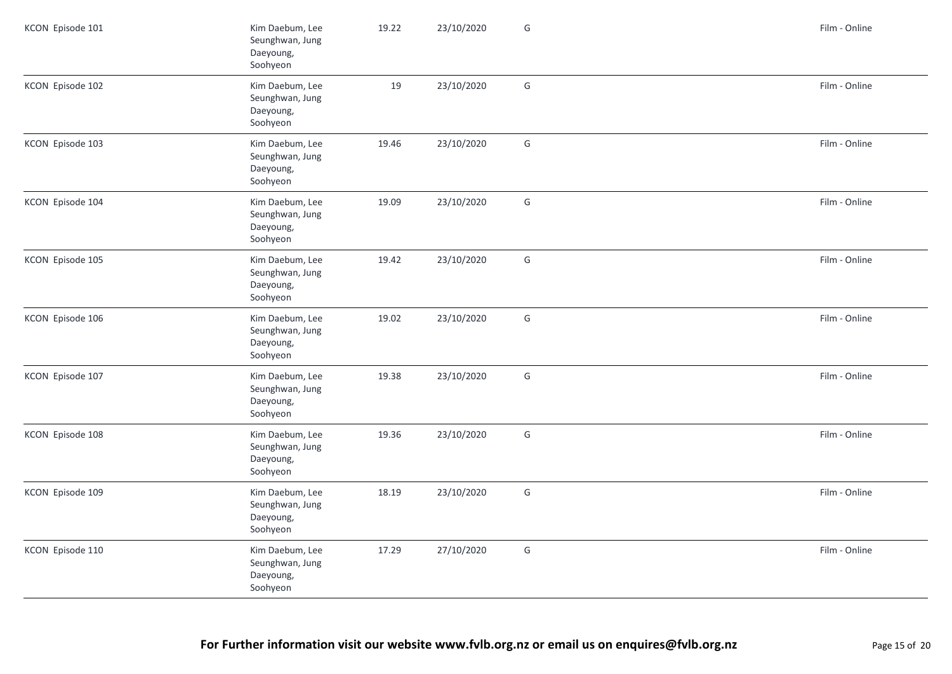| KCON Episode 101 | Kim Daebum, Lee<br>Seunghwan, Jung<br>Daeyoung,<br>Soohyeon | 19.22 | 23/10/2020 | G | Film - Online |
|------------------|-------------------------------------------------------------|-------|------------|---|---------------|
| KCON Episode 102 | Kim Daebum, Lee<br>Seunghwan, Jung<br>Daeyoung,<br>Soohyeon | 19    | 23/10/2020 | G | Film - Online |
| KCON Episode 103 | Kim Daebum, Lee<br>Seunghwan, Jung<br>Daeyoung,<br>Soohyeon | 19.46 | 23/10/2020 | G | Film - Online |
| KCON Episode 104 | Kim Daebum, Lee<br>Seunghwan, Jung<br>Daeyoung,<br>Soohyeon | 19.09 | 23/10/2020 | G | Film - Online |
| KCON Episode 105 | Kim Daebum, Lee<br>Seunghwan, Jung<br>Daeyoung,<br>Soohyeon | 19.42 | 23/10/2020 | G | Film - Online |
| KCON Episode 106 | Kim Daebum, Lee<br>Seunghwan, Jung<br>Daeyoung,<br>Soohyeon | 19.02 | 23/10/2020 | G | Film - Online |
| KCON Episode 107 | Kim Daebum, Lee<br>Seunghwan, Jung<br>Daeyoung,<br>Soohyeon | 19.38 | 23/10/2020 | G | Film - Online |
| KCON Episode 108 | Kim Daebum, Lee<br>Seunghwan, Jung<br>Daeyoung,<br>Soohyeon | 19.36 | 23/10/2020 | G | Film - Online |
| KCON Episode 109 | Kim Daebum, Lee<br>Seunghwan, Jung<br>Daeyoung,<br>Soohyeon | 18.19 | 23/10/2020 | G | Film - Online |
| KCON Episode 110 | Kim Daebum, Lee<br>Seunghwan, Jung<br>Daeyoung,<br>Soohyeon | 17.29 | 27/10/2020 | G | Film - Online |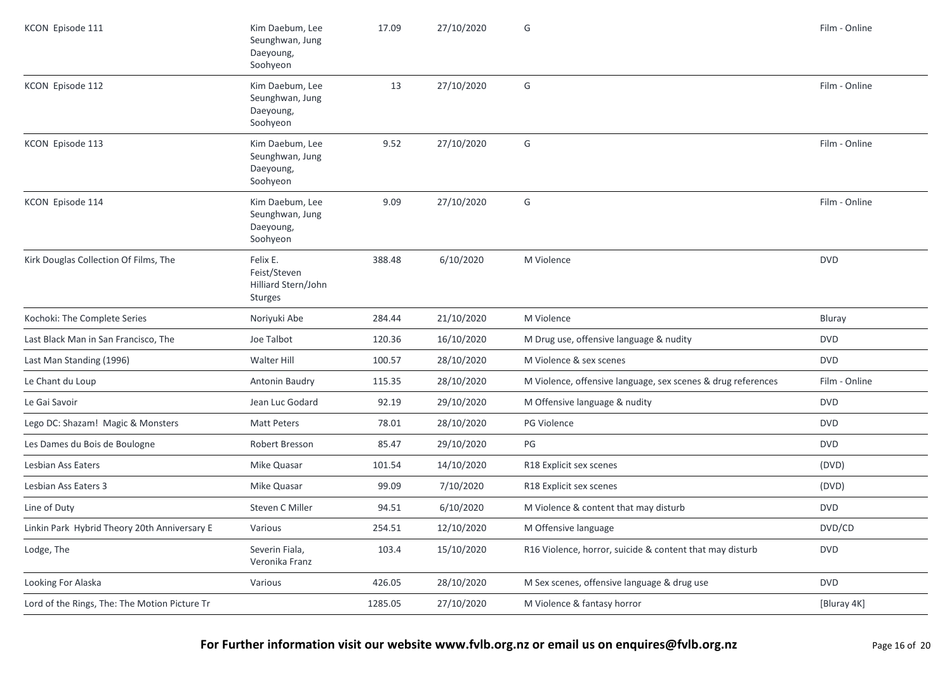| KCON Episode 111                              | Kim Daebum, Lee<br>Seunghwan, Jung<br>Daeyoung,<br>Soohyeon | 17.09   | 27/10/2020 | G                                                            | Film - Online |
|-----------------------------------------------|-------------------------------------------------------------|---------|------------|--------------------------------------------------------------|---------------|
| KCON Episode 112                              | Kim Daebum, Lee<br>Seunghwan, Jung<br>Daeyoung,<br>Soohyeon | 13      | 27/10/2020 | G                                                            | Film - Online |
| KCON Episode 113                              | Kim Daebum, Lee<br>Seunghwan, Jung<br>Daeyoung,<br>Soohyeon | 9.52    | 27/10/2020 | G                                                            | Film - Online |
| KCON Episode 114                              | Kim Daebum, Lee<br>Seunghwan, Jung<br>Daeyoung,<br>Soohyeon | 9.09    | 27/10/2020 | G                                                            | Film - Online |
| Kirk Douglas Collection Of Films, The         | Felix E.<br>Feist/Steven<br>Hilliard Stern/John<br>Sturges  | 388.48  | 6/10/2020  | M Violence                                                   | <b>DVD</b>    |
| Kochoki: The Complete Series                  | Noriyuki Abe                                                | 284.44  | 21/10/2020 | M Violence                                                   | Bluray        |
| Last Black Man in San Francisco, The          | Joe Talbot                                                  | 120.36  | 16/10/2020 | M Drug use, offensive language & nudity                      | <b>DVD</b>    |
| Last Man Standing (1996)                      | Walter Hill                                                 | 100.57  | 28/10/2020 | M Violence & sex scenes                                      | <b>DVD</b>    |
| Le Chant du Loup                              | Antonin Baudry                                              | 115.35  | 28/10/2020 | M Violence, offensive language, sex scenes & drug references | Film - Online |
| Le Gai Savoir                                 | Jean Luc Godard                                             | 92.19   | 29/10/2020 | M Offensive language & nudity                                | <b>DVD</b>    |
| Lego DC: Shazam! Magic & Monsters             | <b>Matt Peters</b>                                          | 78.01   | 28/10/2020 | PG Violence                                                  | <b>DVD</b>    |
| Les Dames du Bois de Boulogne                 | Robert Bresson                                              | 85.47   | 29/10/2020 | PG                                                           | <b>DVD</b>    |
| Lesbian Ass Eaters                            | Mike Quasar                                                 | 101.54  | 14/10/2020 | R18 Explicit sex scenes                                      | (DVD)         |
| Lesbian Ass Eaters 3                          | Mike Quasar                                                 | 99.09   | 7/10/2020  | R18 Explicit sex scenes                                      | (DVD)         |
| Line of Duty                                  | Steven C Miller                                             | 94.51   | 6/10/2020  | M Violence & content that may disturb                        | <b>DVD</b>    |
| Linkin Park Hybrid Theory 20th Anniversary E  | Various                                                     | 254.51  | 12/10/2020 | M Offensive language                                         | DVD/CD        |
| Lodge, The                                    | Severin Fiala,<br>Veronika Franz                            | 103.4   | 15/10/2020 | R16 Violence, horror, suicide & content that may disturb     | <b>DVD</b>    |
| Looking For Alaska                            | Various                                                     | 426.05  | 28/10/2020 | M Sex scenes, offensive language & drug use                  | <b>DVD</b>    |
| Lord of the Rings, The: The Motion Picture Tr |                                                             | 1285.05 | 27/10/2020 | M Violence & fantasy horror                                  | [Bluray 4K]   |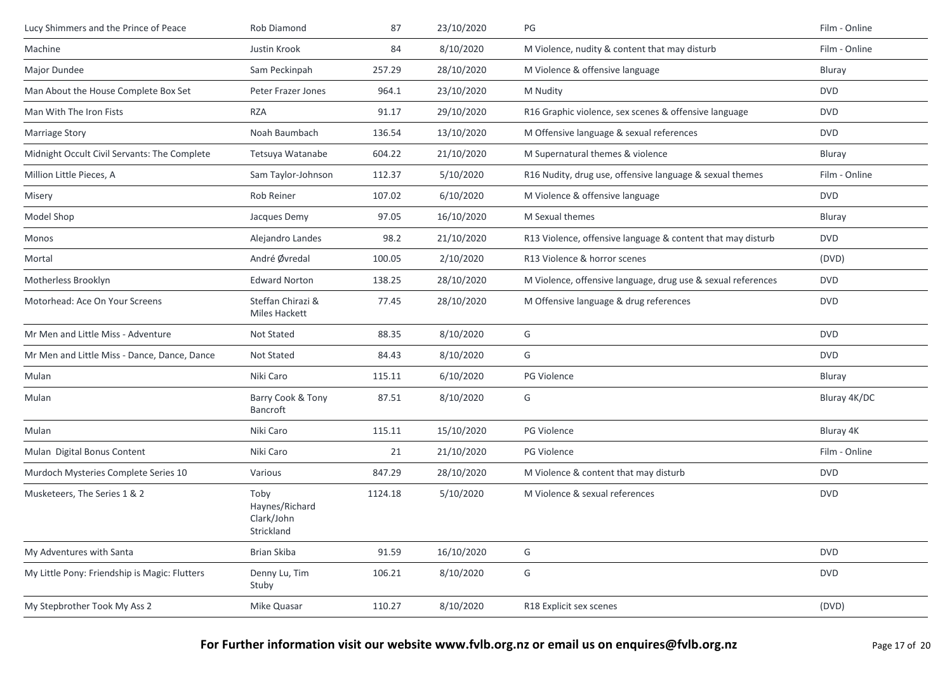| Lucy Shimmers and the Prince of Peace         | Rob Diamond                                        | 87      | 23/10/2020 | $\mathsf{PG}$                                                | Film - Online |
|-----------------------------------------------|----------------------------------------------------|---------|------------|--------------------------------------------------------------|---------------|
| Machine                                       | Justin Krook                                       | 84      | 8/10/2020  | M Violence, nudity & content that may disturb                | Film - Online |
| Major Dundee                                  | Sam Peckinpah                                      | 257.29  | 28/10/2020 | M Violence & offensive language                              | Bluray        |
| Man About the House Complete Box Set          | Peter Frazer Jones                                 | 964.1   | 23/10/2020 | M Nudity                                                     | <b>DVD</b>    |
| Man With The Iron Fists                       | <b>RZA</b>                                         | 91.17   | 29/10/2020 | R16 Graphic violence, sex scenes & offensive language        | <b>DVD</b>    |
| <b>Marriage Story</b>                         | Noah Baumbach                                      | 136.54  | 13/10/2020 | M Offensive language & sexual references                     | <b>DVD</b>    |
| Midnight Occult Civil Servants: The Complete  | Tetsuya Watanabe                                   | 604.22  | 21/10/2020 | M Supernatural themes & violence                             | Bluray        |
| Million Little Pieces, A                      | Sam Taylor-Johnson                                 | 112.37  | 5/10/2020  | R16 Nudity, drug use, offensive language & sexual themes     | Film - Online |
| Misery                                        | Rob Reiner                                         | 107.02  | 6/10/2020  | M Violence & offensive language                              | <b>DVD</b>    |
| Model Shop                                    | Jacques Demy                                       | 97.05   | 16/10/2020 | M Sexual themes                                              | Bluray        |
| Monos                                         | Alejandro Landes                                   | 98.2    | 21/10/2020 | R13 Violence, offensive language & content that may disturb  | <b>DVD</b>    |
| Mortal                                        | André Øvredal                                      | 100.05  | 2/10/2020  | R13 Violence & horror scenes                                 | (DVD)         |
| Motherless Brooklyn                           | <b>Edward Norton</b>                               | 138.25  | 28/10/2020 | M Violence, offensive language, drug use & sexual references | <b>DVD</b>    |
| Motorhead: Ace On Your Screens                | Steffan Chirazi &<br>Miles Hackett                 | 77.45   | 28/10/2020 | M Offensive language & drug references                       | <b>DVD</b>    |
| Mr Men and Little Miss - Adventure            | Not Stated                                         | 88.35   | 8/10/2020  | G                                                            | <b>DVD</b>    |
| Mr Men and Little Miss - Dance, Dance, Dance  | Not Stated                                         | 84.43   | 8/10/2020  | G                                                            | <b>DVD</b>    |
| Mulan                                         | Niki Caro                                          | 115.11  | 6/10/2020  | PG Violence                                                  | Bluray        |
| Mulan                                         | Barry Cook & Tony<br>Bancroft                      | 87.51   | 8/10/2020  | G                                                            | Bluray 4K/DC  |
| Mulan                                         | Niki Caro                                          | 115.11  | 15/10/2020 | PG Violence                                                  | Bluray 4K     |
| Mulan Digital Bonus Content                   | Niki Caro                                          | 21      | 21/10/2020 | <b>PG Violence</b>                                           | Film - Online |
| Murdoch Mysteries Complete Series 10          | Various                                            | 847.29  | 28/10/2020 | M Violence & content that may disturb                        | <b>DVD</b>    |
| Musketeers, The Series 1 & 2                  | Toby<br>Haynes/Richard<br>Clark/John<br>Strickland | 1124.18 | 5/10/2020  | M Violence & sexual references                               | <b>DVD</b>    |
| My Adventures with Santa                      | Brian Skiba                                        | 91.59   | 16/10/2020 | G                                                            | <b>DVD</b>    |
| My Little Pony: Friendship is Magic: Flutters | Denny Lu, Tim<br>Stuby                             | 106.21  | 8/10/2020  | G                                                            | <b>DVD</b>    |
| My Stepbrother Took My Ass 2                  | Mike Quasar                                        | 110.27  | 8/10/2020  | R18 Explicit sex scenes                                      | (DVD)         |

**For Further information visit our website www.fvlb.org.nz or email us on enquires@fvlb.org.nz** Page 17 of 20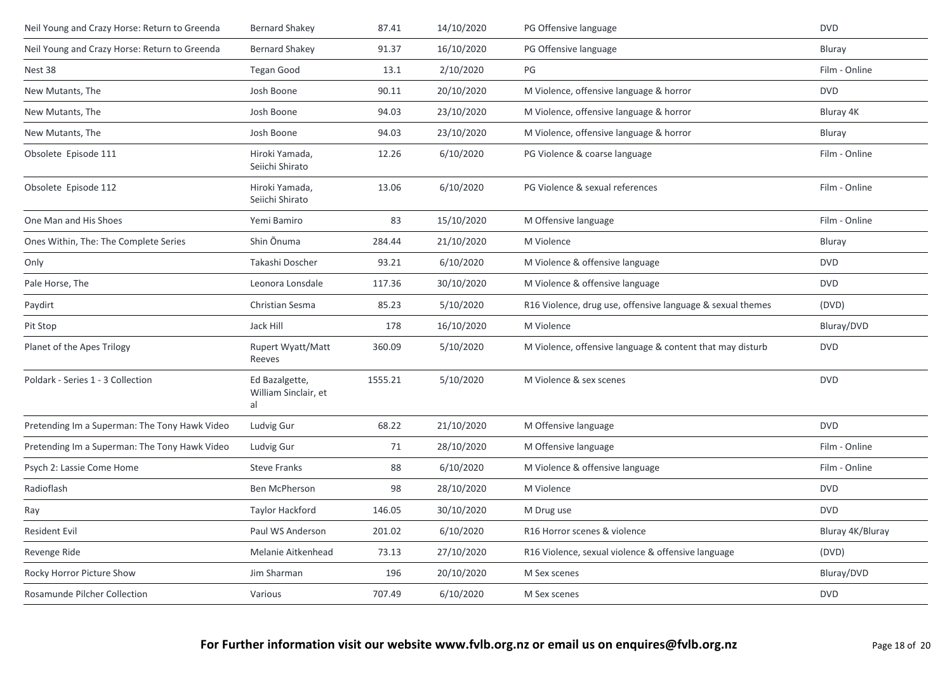| Neil Young and Crazy Horse: Return to Greenda | <b>Bernard Shakev</b>                        | 87.41   | 14/10/2020 | PG Offensive language                                      | <b>DVD</b>       |
|-----------------------------------------------|----------------------------------------------|---------|------------|------------------------------------------------------------|------------------|
| Neil Young and Crazy Horse: Return to Greenda | <b>Bernard Shakey</b>                        | 91.37   | 16/10/2020 | PG Offensive language                                      | Bluray           |
| Nest 38                                       | <b>Tegan Good</b>                            | 13.1    | 2/10/2020  | PG                                                         | Film - Online    |
| New Mutants, The                              | Josh Boone                                   | 90.11   | 20/10/2020 | M Violence, offensive language & horror                    | <b>DVD</b>       |
| New Mutants, The                              | Josh Boone                                   | 94.03   | 23/10/2020 | M Violence, offensive language & horror                    | Bluray 4K        |
| New Mutants, The                              | Josh Boone                                   | 94.03   | 23/10/2020 | M Violence, offensive language & horror                    | Bluray           |
| Obsolete Episode 111                          | Hiroki Yamada,<br>Seiichi Shirato            | 12.26   | 6/10/2020  | PG Violence & coarse language                              | Film - Online    |
| Obsolete Episode 112                          | Hiroki Yamada,<br>Seiichi Shirato            | 13.06   | 6/10/2020  | PG Violence & sexual references                            | Film - Online    |
| One Man and His Shoes                         | Yemi Bamiro                                  | 83      | 15/10/2020 | M Offensive language                                       | Film - Online    |
| Ones Within, The: The Complete Series         | Shin Ōnuma                                   | 284.44  | 21/10/2020 | M Violence                                                 | Bluray           |
| Only                                          | Takashi Doscher                              | 93.21   | 6/10/2020  | M Violence & offensive language                            | <b>DVD</b>       |
| Pale Horse, The                               | Leonora Lonsdale                             | 117.36  | 30/10/2020 | M Violence & offensive language                            | <b>DVD</b>       |
| Paydirt                                       | Christian Sesma                              | 85.23   | 5/10/2020  | R16 Violence, drug use, offensive language & sexual themes | (DVD)            |
| Pit Stop                                      | Jack Hill                                    | 178     | 16/10/2020 | M Violence                                                 | Bluray/DVD       |
| Planet of the Apes Trilogy                    | Rupert Wyatt/Matt<br>Reeves                  | 360.09  | 5/10/2020  | M Violence, offensive language & content that may disturb  | <b>DVD</b>       |
| Poldark - Series 1 - 3 Collection             | Ed Bazalgette,<br>William Sinclair, et<br>al | 1555.21 | 5/10/2020  | M Violence & sex scenes                                    | <b>DVD</b>       |
| Pretending Im a Superman: The Tony Hawk Video | Ludvig Gur                                   | 68.22   | 21/10/2020 | M Offensive language                                       | <b>DVD</b>       |
| Pretending Im a Superman: The Tony Hawk Video | Ludvig Gur                                   | 71      | 28/10/2020 | M Offensive language                                       | Film - Online    |
| Psych 2: Lassie Come Home                     | <b>Steve Franks</b>                          | 88      | 6/10/2020  | M Violence & offensive language                            | Film - Online    |
| Radioflash                                    | <b>Ben McPherson</b>                         | 98      | 28/10/2020 | M Violence                                                 | <b>DVD</b>       |
| Ray                                           | Taylor Hackford                              | 146.05  | 30/10/2020 | M Drug use                                                 | <b>DVD</b>       |
| <b>Resident Evil</b>                          | Paul WS Anderson                             | 201.02  | 6/10/2020  | R16 Horror scenes & violence                               | Bluray 4K/Bluray |
| Revenge Ride                                  | Melanie Aitkenhead                           | 73.13   | 27/10/2020 | R16 Violence, sexual violence & offensive language         | (DVD)            |
| Rocky Horror Picture Show                     | Jim Sharman                                  | 196     | 20/10/2020 | M Sex scenes                                               | Bluray/DVD       |
| Rosamunde Pilcher Collection                  | Various                                      | 707.49  | 6/10/2020  | M Sex scenes                                               | <b>DVD</b>       |
|                                               |                                              |         |            |                                                            |                  |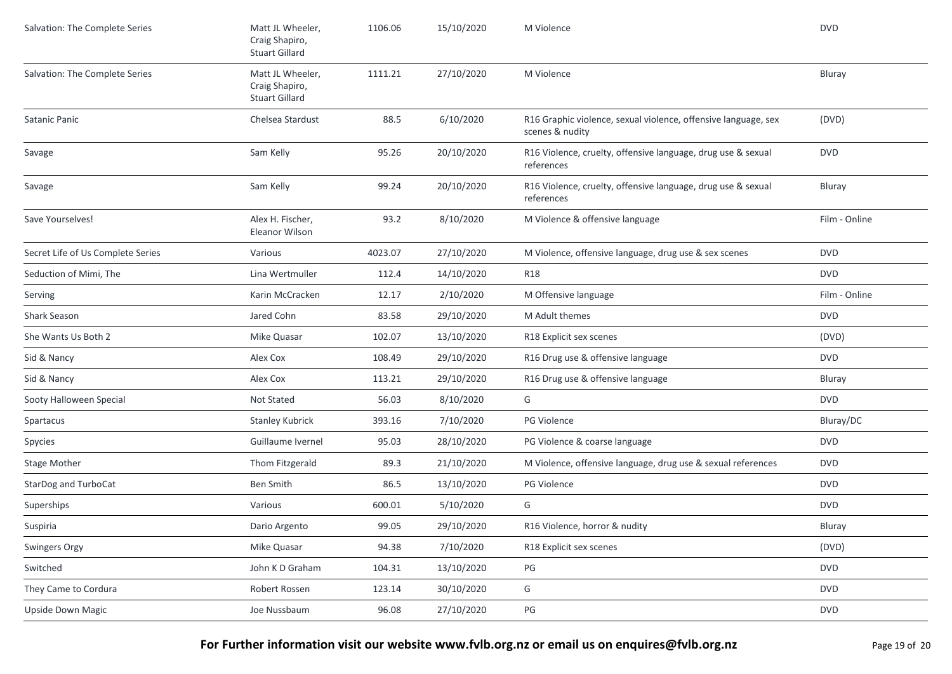| Salvation: The Complete Series    | Matt JL Wheeler,<br>Craig Shapiro,<br><b>Stuart Gillard</b> | 1106.06 | 15/10/2020 | M Violence                                                                        | <b>DVD</b>    |
|-----------------------------------|-------------------------------------------------------------|---------|------------|-----------------------------------------------------------------------------------|---------------|
| Salvation: The Complete Series    | Matt JL Wheeler,<br>Craig Shapiro,<br><b>Stuart Gillard</b> | 1111.21 | 27/10/2020 | M Violence                                                                        | Bluray        |
| Satanic Panic                     | Chelsea Stardust                                            | 88.5    | 6/10/2020  | R16 Graphic violence, sexual violence, offensive language, sex<br>scenes & nudity | (DVD)         |
| Savage                            | Sam Kelly                                                   | 95.26   | 20/10/2020 | R16 Violence, cruelty, offensive language, drug use & sexual<br>references        | <b>DVD</b>    |
| Savage                            | Sam Kelly                                                   | 99.24   | 20/10/2020 | R16 Violence, cruelty, offensive language, drug use & sexual<br>references        | Bluray        |
| Save Yourselves!                  | Alex H. Fischer,<br>Eleanor Wilson                          | 93.2    | 8/10/2020  | M Violence & offensive language                                                   | Film - Online |
| Secret Life of Us Complete Series | Various                                                     | 4023.07 | 27/10/2020 | M Violence, offensive language, drug use & sex scenes                             | <b>DVD</b>    |
| Seduction of Mimi, The            | Lina Wertmuller                                             | 112.4   | 14/10/2020 | <b>R18</b>                                                                        | <b>DVD</b>    |
| Serving                           | Karin McCracken                                             | 12.17   | 2/10/2020  | M Offensive language                                                              | Film - Online |
| Shark Season                      | Jared Cohn                                                  | 83.58   | 29/10/2020 | M Adult themes                                                                    | <b>DVD</b>    |
| She Wants Us Both 2               | Mike Quasar                                                 | 102.07  | 13/10/2020 | R18 Explicit sex scenes                                                           | (DVD)         |
| Sid & Nancy                       | Alex Cox                                                    | 108.49  | 29/10/2020 | R16 Drug use & offensive language                                                 | <b>DVD</b>    |
| Sid & Nancy                       | Alex Cox                                                    | 113.21  | 29/10/2020 | R16 Drug use & offensive language                                                 | Bluray        |
| Sooty Halloween Special           | Not Stated                                                  | 56.03   | 8/10/2020  | G                                                                                 | <b>DVD</b>    |
| Spartacus                         | <b>Stanley Kubrick</b>                                      | 393.16  | 7/10/2020  | <b>PG Violence</b>                                                                | Bluray/DC     |
| Spycies                           | Guillaume Ivernel                                           | 95.03   | 28/10/2020 | PG Violence & coarse language                                                     | <b>DVD</b>    |
| <b>Stage Mother</b>               | Thom Fitzgerald                                             | 89.3    | 21/10/2020 | M Violence, offensive language, drug use & sexual references                      | <b>DVD</b>    |
| StarDog and TurboCat              | <b>Ben Smith</b>                                            | 86.5    | 13/10/2020 | PG Violence                                                                       | <b>DVD</b>    |
| Superships                        | Various                                                     | 600.01  | 5/10/2020  | G                                                                                 | <b>DVD</b>    |
| Suspiria                          | Dario Argento                                               | 99.05   | 29/10/2020 | R16 Violence, horror & nudity                                                     | Bluray        |
| Swingers Orgy                     | Mike Quasar                                                 | 94.38   | 7/10/2020  | R18 Explicit sex scenes                                                           | (DVD)         |
| Switched                          | John K D Graham                                             | 104.31  | 13/10/2020 | PG                                                                                | <b>DVD</b>    |
| They Came to Cordura              | Robert Rossen                                               | 123.14  | 30/10/2020 | G                                                                                 | <b>DVD</b>    |
| Upside Down Magic                 | Joe Nussbaum                                                | 96.08   | 27/10/2020 | PG                                                                                | <b>DVD</b>    |